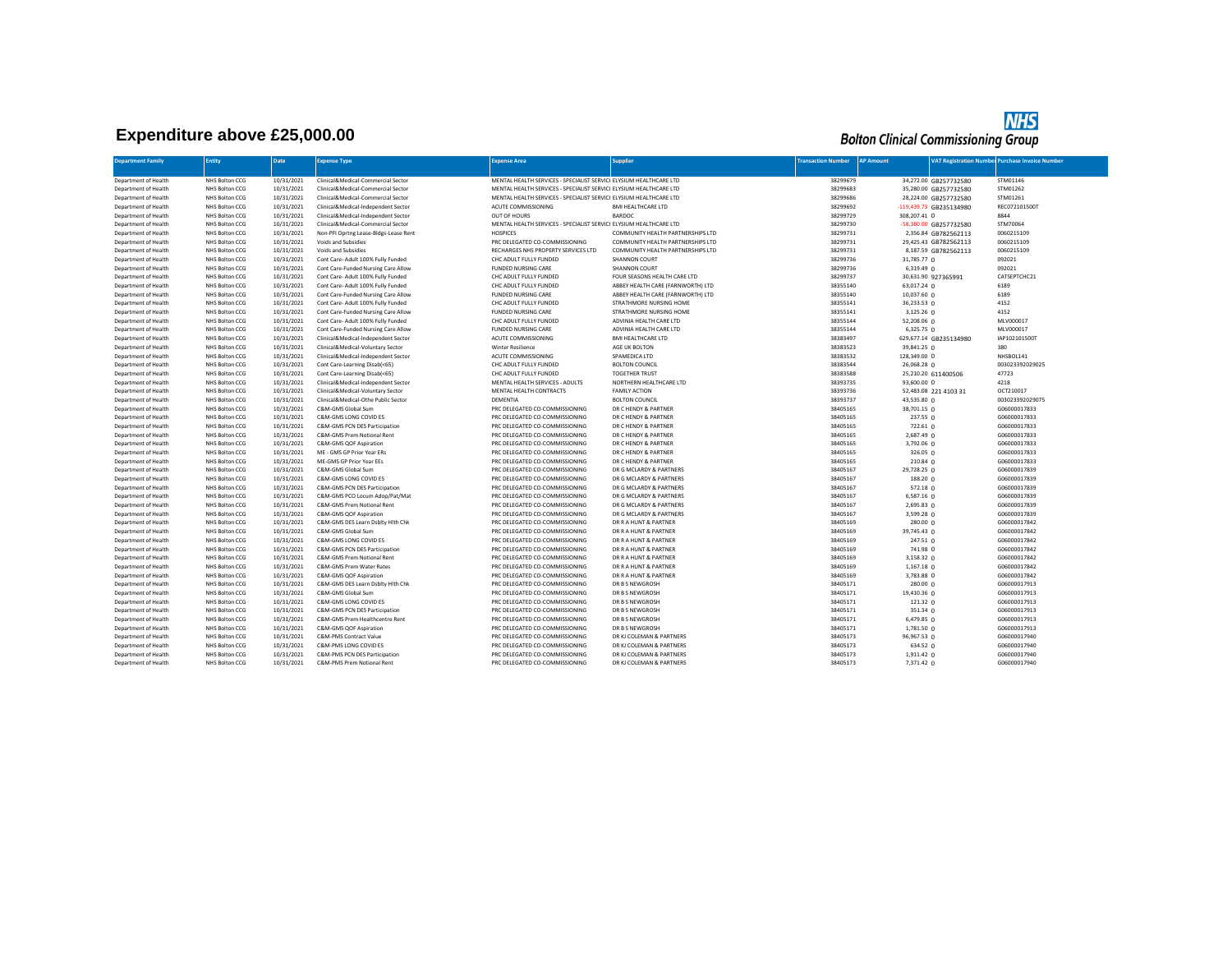## **Expenditure above £25,000.00**

## **NHS**<br>Bolton Clinical Commissioning Group

| <b>Department Family</b>                     | <b>Entity</b>                    | <b>Date</b>              | <b>Expense Type</b>                                             | <b>Expense Area</b>                                                | <b>Supplier</b>                             | <b>Transaction Number</b> | <b>AP Amount</b>        |                         | <b>VAT Registration Number Purchase Invoice Number</b> |
|----------------------------------------------|----------------------------------|--------------------------|-----------------------------------------------------------------|--------------------------------------------------------------------|---------------------------------------------|---------------------------|-------------------------|-------------------------|--------------------------------------------------------|
|                                              |                                  |                          |                                                                 |                                                                    |                                             |                           |                         |                         |                                                        |
| Department of Health                         | NHS Bolton CCG                   | 10/31/2021               | Clinical&Medical-Commercial Sector                              | MENTAL HEALTH SERVICES - SPECIALIST SERVICI ELYSIUM HEALTHCARE LTD |                                             | 38299679                  |                         | 34,272.00 GB257732580   | STM01146                                               |
| Department of Health                         | NHS Bolton CCG                   | 10/31/2021               | Clinical&Medical-Commercial Sector                              | MENTAL HEALTH SERVICES - SPECIALIST SERVICI ELYSIUM HEALTHCARE LTD |                                             | 38299683                  |                         | 35,280.00 GB257732580   | STM01262                                               |
| Department of Health                         | NHS Bolton CCG                   | 10/31/2021               | Clinical&Medical-Commercial Sector                              | MENTAL HEALTH SERVICES - SPECIALIST SERVICI ELYSIUM HEALTHCARE LTD |                                             | 38299686                  |                         | 28,224.00 GB257732580   | STM01261                                               |
| Department of Health                         | NHS Bolton CCG                   | 10/31/2021               | Clinical&Medical-Independent Sector                             | ACUTE COMMISSIONING                                                | <b>BMI HEALTHCARE LTD</b>                   | 38299692                  |                         | -119,439.73 GB235134980 | REC072101500T                                          |
| Department of Health                         | NHS Bolton CCG                   | 10/31/2021               | Clinical&Medical-Independent Sector                             | OUT OF HOURS                                                       | <b>BARDOC</b>                               | 38299729                  | 308,207.41 0            |                         | 8844                                                   |
| Department of Health                         | NHS Bolton CCG                   | 10/31/2021               | Clinical&Medical-Commercial Sector                              | MENTAL HEALTH SERVICES - SPECIALIST SERVICI ELYSIUM HEALTHCARE LTD |                                             | 38299730                  |                         | -58,380.00 GB257732580  | STM70064                                               |
| Department of Health                         | NHS Bolton CCG                   | 10/31/2021               | Non-PFI Oprtng Lease-Bldgs-Lease Rent                           | <b>HOSPICES</b>                                                    | COMMUNITY HEALTH PARTNERSHIPS LTD           | 38299731                  |                         | 2,356.84 GB782562113    | 0060215109                                             |
| Department of Health                         | NHS Bolton CCG                   | 10/31/2021               | Voids and Subsidies                                             | PRC DELEGATED CO-COMMISSIONING                                     | COMMUNITY HEALTH PARTNERSHIPS LTD           | 38299731                  |                         | 29,425.43 GB782562113   | 0060215109                                             |
| Department of Health                         | NHS Bolton CCG                   | 10/31/2021               | Voids and Subsidies                                             | RECHARGES NHS PROPERTY SERVICES LTD                                | COMMUNITY HEALTH PARTNERSHIPS LTD           | 38299731                  |                         | 8,187.59 GB782562113    | 0060215109                                             |
| Department of Health                         | NHS Bolton CCG                   | 10/31/2021               | Cont Care- Adult 100% Fully Funded                              | CHC ADULT FULLY FUNDED                                             | SHANNON COURT                               | 38299736                  | 31,785.77 0             |                         | 092021                                                 |
| Department of Health                         | NHS Bolton CCG                   | 10/31/2021               | Cont Care-Funded Nursing Care Allow                             | <b>FUNDED NURSING CARE</b>                                         | SHANNON COURT                               | 38299736                  | $6,319.49$ 0            |                         | 092021                                                 |
| Department of Health                         | NHS Bolton CCG                   | 10/31/2021               | Cont Care- Adult 100% Fully Funded                              | CHC ADULT FULLY FUNDED                                             | FOUR SEASONS HEALTH CARE LTD                | 38299737                  |                         | 30,631.90 927365991     | CATSEPTCHC21                                           |
| Department of Health                         | NHS Bolton CCG                   | 10/31/2021               | Cont Care- Adult 100% Fully Funded                              | CHC ADULT FULLY FUNDED                                             | ABBEY HEALTH CARE (FARNWORTH) LTD           | 38355140                  | $63,017.24$ 0           |                         | 6189                                                   |
| Department of Health                         | NHS Bolton CCG                   | 10/31/2021               | Cont Care-Funded Nursing Care Allow                             | <b>FUNDED NURSING CARE</b>                                         | ABBEY HEALTH CARE (FARNWORTH) LTD           | 38355140                  | 10,037.60 0             |                         | 6189                                                   |
| Department of Health                         | NHS Bolton CCG                   | 10/31/2021               | Cont Care- Adult 100% Fully Funded                              | CHC ADULT FULLY FUNDED                                             | STRATHMORE NURSING HOME                     | 38355141                  | 36,233.53 0             |                         | 4152                                                   |
| Department of Health                         | NHS Bolton CCG                   | 10/31/2021               | Cont Care-Funded Nursing Care Allow                             | <b>FUNDED NURSING CARE</b>                                         | STRATHMORE NURSING HOME                     | 38355141                  | 3,125.26 0              |                         | 4152                                                   |
| Department of Health                         | NHS Bolton CCG                   | 10/31/2021               | Cont Care- Adult 100% Fully Funded                              | CHC ADULT FULLY FUNDED                                             | ADVINIA HEALTH CARE LTD                     | 38355144                  | 52,208.06 0             |                         | MLV000017                                              |
| Department of Health                         | NHS Bolton CCG                   | 10/31/2021               | Cont Care-Funded Nursing Care Allow                             | <b>FUNDED NURSING CARE</b>                                         | ADVINIA HEALTH CARE LTD                     | 38355144                  | 6,325.75 0              |                         | MLV000017                                              |
| Department of Health                         | NHS Bolton CCG                   | 10/31/2021               | Clinical&Medical-Independent Sector                             | ACUTE COMMISSIONING                                                | <b>BMI HEALTHCARE LTD</b>                   | 38383497                  |                         | 629,677.14 GB235134980  | IAP1021015001                                          |
| Department of Health                         | NHS Bolton CCG                   | 10/31/2021               | Clinical&Medical-Voluntary Sector                               | <b>Winter Resilience</b>                                           | AGE UK BOLTON                               | 38383523                  | 39,841.25 0             |                         | 380                                                    |
| Department of Health                         | NHS Bolton CCG                   | 10/31/2021               | Clinical&Medical-Independent Sector                             | ACUTE COMMISSIONING                                                | SPAMEDICA LTD                               | 38383532                  | 128,349.00 0            |                         | NHSBOL141                                              |
| Department of Health                         | NHS Bolton CCG                   | 10/31/2021               | Cont Care-Learning Disab(<65)                                   | CHC ADULT FULLY FUNDED                                             | <b>BOLTON COUNCIL</b>                       | 38383544                  | 26,068.28 0             |                         | 003023392029025                                        |
| Department of Health                         | NHS Bolton CCG                   | 10/31/2021               | Cont Care-Learning Disab(<65)                                   | CHC ADULT FULLY FUNDED                                             | <b>TOGETHER TRUST</b>                       | 38383588                  |                         | 25,210.20 611400506     | 47723                                                  |
| Department of Health                         | NHS Bolton CCG                   | 10/31/2021               | Clinical&Medical-Independent Sector                             | MENTAL HEALTH SERVICES - ADULTS                                    | NORTHERN HEALTHCARE LTD                     | 38393735                  | 93,600.00 0             |                         | 4218                                                   |
| Department of Health                         | NHS Bolton CCG                   | 10/31/2021               | Clinical&Medical-Voluntary Sector                               | MENTAL HEALTH CONTRACTS                                            | <b>FAMILY ACTION</b>                        | 38393736                  |                         | 52,483.08 221 4103 31   | OCT210017                                              |
| Department of Health                         | NHS Bolton CCG                   | 10/31/2021               | Clinical&Medical-Othe Public Sector                             | DEMENTIA                                                           | <b>BOLTON COUNCIL</b>                       | 38393737                  | 43,535.80 0             |                         | 003023392029075                                        |
| Department of Health                         | NHS Bolton CCG                   | 10/31/2021               | C&M-GMS Global Sum                                              | PRC DELEGATED CO-COMMISSIONING                                     | DR C HENDY & PARTNER                        | 38405165                  | 38,701.15 0             |                         | G06000017833                                           |
| Department of Health                         | NHS Bolton CCG                   | 10/31/2021               | C&M-GMS LONG COVID ES                                           | PRC DELEGATED CO-COMMISSIONING                                     | DR C HENDY & PARTNER                        | 38405165                  | 237.55 0                |                         | G06000017833                                           |
| Department of Health                         | NHS Bolton CCG                   | 10/31/2021               | C&M-GMS PCN DES Participation                                   | PRC DELEGATED CO-COMMISSIONING                                     | DR C HENDY & PARTNER                        | 38405165                  | 722.61 0                |                         | G06000017833                                           |
| Department of Health                         | NHS Bolton CCG                   | 10/31/2021               | C&M-GMS Prem Notional Rent                                      | PRC DELEGATED CO-COMMISSIONING                                     | DR C HENDY & PARTNER                        | 38405165                  | 2,687.49 0              |                         | G06000017833                                           |
| Department of Health                         | NHS Bolton CCG                   | 10/31/2021               | C&M-GMS QOF Aspiration                                          | PRC DELEGATED CO-COMMISSIONING                                     | DR C HENDY & PARTNER                        | 38405165                  | $3,792.06$ 0            |                         | G06000017833                                           |
| Department of Health                         | NHS Bolton CCG                   | 10/31/2021               | ME - GMS GP Prior Year ERs                                      | PRC DELEGATED CO-COMMISSIONING                                     | DR C HENDY & PARTNER                        | 38405165                  | 326.05 0                |                         | G06000017833                                           |
| Department of Health                         | NHS Bolton CCG                   | 10/31/2021               | ME-GMS GP Prior Year EEs                                        | PRC DELEGATED CO-COMMISSIONING                                     | DR C HENDY & PARTNER                        | 38405165                  | $210.84 \Omega$         |                         | G06000017833                                           |
| Department of Health                         | NHS Bolton CCG                   | 10/31/2021               | C&M-GMS Global Sum                                              | PRC DELEGATED CO-COMMISSIONING                                     | DR G MCLARDY & PARTNERS                     | 38405167                  | 29,728.25 0             |                         | G06000017839                                           |
| Department of Health                         | NHS Bolton CCG                   | 10/31/2021               | C&M-GMS LONG COVID ES                                           | PRC DELEGATED CO-COMMISSIONING                                     | DR G MCLARDY & PARTNERS                     | 38405167                  | $188.20 \Omega$         |                         | G06000017839                                           |
| Department of Health                         | NHS Bolton CCG                   | 10/31/2021               | C&M-GMS PCN DES Participation                                   | PRC DELEGATED CO-COMMISSIONING                                     | DR G MCLARDY & PARTNERS                     | 38405167                  | $572.18$ 0              |                         | G06000017839                                           |
| Department of Health                         | NHS Bolton CCG                   | 10/31/2021               | C&M-GMS PCO Locum Adop/Pat/Mat                                  | PRC DELEGATED CO-COMMISSIONING                                     | DR G MCLARDY & PARTNERS                     | 38405167                  | 6,587.16 0              |                         | G06000017839                                           |
| Department of Health                         | NHS Bolton CCG                   | 10/31/2021               | C&M-GMS Prem Notional Rent                                      | PRC DELEGATED CO-COMMISSIONING                                     | DR G MCLARDY & PARTNERS                     | 38405167                  | 2,695.83 0              |                         | G06000017839                                           |
| Department of Health                         | NHS Bolton CCG                   | 10/31/2021               | C&M-GMS QOF Aspiration                                          | PRC DELEGATED CO-COMMISSIONING                                     | DR G MCLARDY & PARTNERS                     | 38405167                  | 3,599.28 0              |                         | G06000017839                                           |
| Department of Health                         | NHS Bolton CCG                   | 10/31/2021               | C&M-GMS DES Learn Dsbltv Hlth Chk                               | PRC DELEGATED CO-COMMISSIONING                                     | DR R A HUNT & PARTNER                       | 38405169                  | 280.00 0                |                         | G06000017842                                           |
| Department of Health                         | NHS Bolton CCG                   | 10/31/2021               | C&M-GMS Global Sum                                              | PRC DELEGATED CO-COMMISSIONING                                     | DR R A HUNT & PARTNER                       | 38405169                  | 39,745.43 0             |                         | G06000017842                                           |
| Department of Health                         | NHS Bolton CCG                   | 10/31/2021               | C&M-GMS LONG COVID ES                                           | PRC DELEGATED CO-COMMISSIONING                                     | DR R A HUNT & PARTNER                       | 38405169                  | 247.51 0                |                         | G06000017842                                           |
| Department of Health                         | NHS Bolton CCG                   | 10/31/2021               | C&M-GMS PCN DES Participation                                   | PRC DELEGATED CO-COMMISSIONING                                     | DR R A HUNT & PARTNER                       | 38405169                  | 741.98 0                |                         | G06000017842                                           |
| Department of Health                         | NHS Bolton CCG                   | 10/31/2021               | C&M-GMS Prem Notional Rent                                      | PRC DELEGATED CO-COMMISSIONING                                     | DR R A HUNT & PARTNER                       | 38405169                  | 3,158.32 0              |                         | G06000017842                                           |
| Department of Health                         | NHS Bolton CCG                   | 10/31/2021               | C&M-GMS Prem Water Rates                                        | PRC DELEGATED CO-COMMISSIONING                                     | DR R A HUNT & PARTNER                       | 38405169                  | 1,167.18 0              |                         | G06000017842                                           |
| Department of Health                         | NHS Bolton CCG                   | 10/31/2021               | C&M-GMS QOF Aspiration                                          | PRC DELEGATED CO-COMMISSIONING                                     | DR R A HUNT & PARTNER                       | 38405169                  | 3,783.88 0              |                         | G06000017842                                           |
| Department of Health                         | NHS Bolton CCG                   | 10/31/2021               | C&M-GMS DES Learn Dsblty Hith Chk                               | PRC DELEGATED CO-COMMISSIONING                                     | DR B S NEWGROSH                             | 38405171                  | 280.00 0                |                         | G06000017913                                           |
| Department of Health                         | NHS Bolton CCG                   | 10/31/2021<br>10/31/2021 | C&M-GMS Global Sum<br>C&M-GMS LONG COVID ES                     | PRC DELEGATED CO-COMMISSIONING<br>PRC DELEGATED CO-COMMISSIONING   | DR B S NEWGROSH<br>DR B S NEWGROSH          | 38405171<br>38405171      | 19,410.36 0<br>121.32 0 |                         | G06000017913                                           |
| Department of Health                         | NHS Bolton CCG                   |                          |                                                                 |                                                                    |                                             | 38405171                  |                         |                         | G06000017913                                           |
| Department of Health<br>Department of Health | NHS Bolton CCG<br>NHS Bolton CCG | 10/31/2021<br>10/31/2021 | C&M-GMS PCN DES Participation<br>C&M-GMS Prem Healthcentre Rent | PRC DELEGATED CO-COMMISSIONING<br>PRC DELEGATED CO-COMMISSIONING   | DR B S NEWGROSH<br>DR B S NEWGROSH          | 38405171                  | 351.34 0<br>6,479.85 0  |                         | G06000017913<br>G06000017913                           |
| Department of Health                         |                                  | 10/31/2021               |                                                                 |                                                                    |                                             | 38405171                  | 1,781.50 0              |                         |                                                        |
| Department of Health                         | NHS Bolton CCG<br>NHS Bolton CCG | 10/31/2021               | C&M-GMS QOF Aspiration<br><b>C&amp;M-PMS Contract Value</b>     | PRC DELEGATED CO-COMMISSIONING<br>PRC DELEGATED CO-COMMISSIONING   | DR B S NEWGROSH<br>DR KJ COLEMAN & PARTNERS | 38405173                  | 96,967.53 0             |                         | G06000017913<br>G06000017940                           |
| Department of Health                         | NHS Bolton CCG                   | 10/31/2021               | C&M-PMS LONG COVID ES                                           | PRC DELEGATED CO-COMMISSIONING                                     | DR KJ COLEMAN & PARTNERS                    | 38405173                  | 634.52 0                |                         | G06000017940                                           |
| Department of Health                         | NHS Bolton CCG                   | 10/31/2021               | C&M-PMS PCN DES Participation                                   | PRC DELEGATED CO-COMMISSIONING                                     | DR KJ COLEMAN & PARTNERS                    | 38405173                  | $1,911.42$ 0            |                         | G06000017940                                           |
| Department of Health                         | NHS Bolton CCG                   | 10/31/2021               | C&M-PMS Prem Notional Rent                                      | PRC DELEGATED CO-COMMISSIONING                                     | DR KJ COLEMAN & PARTNERS                    | 38405173                  | $7,371.42$ 0            |                         | G06000017940                                           |
|                                              |                                  |                          |                                                                 |                                                                    |                                             |                           |                         |                         |                                                        |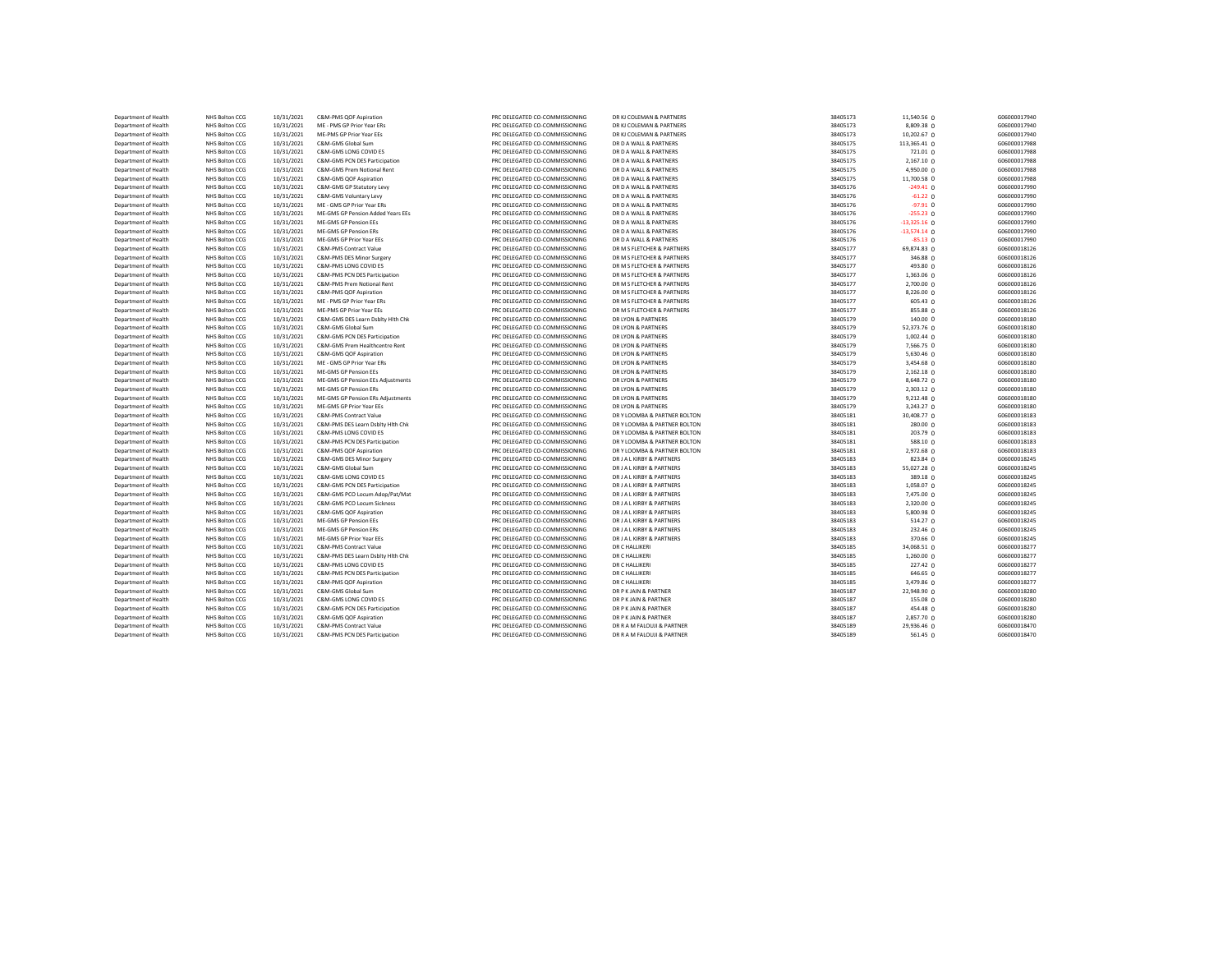| Department of Health | NHS Bolton CCG | 10/31/2021 | C&M-PMS QOF Aspiration            | PRC DELEGATED CO-COMMISSIONING | DR KJ COLEMAN & PARTNERS     | 38405173 | 11,540.56 0     | G06000017940 |
|----------------------|----------------|------------|-----------------------------------|--------------------------------|------------------------------|----------|-----------------|--------------|
| Department of Health | NHS Bolton CCG | 10/31/2021 | ME - PMS GP Prior Year ERs        | PRC DELEGATED CO-COMMISSIONING | DR KJ COLEMAN & PARTNERS     | 38405173 | 8,809.38 0      | G06000017940 |
| Department of Health | NHS Bolton CCG | 10/31/2021 | ME-PMS GP Prior Year EEs          | PRC DELEGATED CO-COMMISSIONING | DR KJ COLEMAN & PARTNERS     | 38405173 | 10,202.67 0     | G06000017940 |
| Department of Health | NHS Bolton CCG | 10/31/2021 | C&M-GMS Global Sum                | PRC DELEGATED CO-COMMISSIONING | DR D A WALL & PARTNERS       | 38405175 | 113,365.41 0    | G06000017988 |
| Department of Health | NHS Bolton CCG | 10/31/2021 | C&M-GMS LONG COVID ES             | PRC DELEGATED CO-COMMISSIONING | DR D A WALL & PARTNERS       | 38405175 | 721.01 0        | G06000017988 |
| Department of Health | NHS Bolton CCG | 10/31/2021 | C&M-GMS PCN DES Participation     | PRC DELEGATED CO-COMMISSIONING | DR D A WALL & PARTNERS       | 38405175 | 2,167.10 0      | G06000017988 |
| Department of Health | NHS Bolton CCG | 10/31/2021 | C&M-GMS Prem Notional Rent        | PRC DELEGATED CO-COMMISSIONING | DR D A WALL & PARTNERS       | 38405175 | 4.950.00 0      | G06000017988 |
| Department of Health | NHS Bolton CCG | 10/31/2021 | C&M-GMS QOF Aspiration            | PRC DELEGATED CO-COMMISSIONING | DR D A WALL & PARTNERS       | 38405175 | 11,700.58 0     | G06000017988 |
| Department of Health | NHS Bolton CCG | 10/31/2021 | C&M-GMS GP Statutory Levy         | PRC DELEGATED CO-COMMISSIONING | DR D A WALL & PARTNERS       | 38405176 | $-249.41$ 0     | G06000017990 |
| Department of Health | NHS Bolton CCG | 10/31/2021 | C&M-GMS Voluntary Levy            | PRC DELEGATED CO-COMMISSIONING | DR D A WALL & PARTNERS       | 38405176 | $-61.22$ 0      | G06000017990 |
|                      |                |            |                                   |                                |                              |          |                 |              |
| Department of Health | NHS Bolton CCG | 10/31/2021 | ME - GMS GP Prior Year ERs        | PRC DELEGATED CO-COMMISSIONING | DR D A WALL & PARTNERS       | 38405176 | $-97.91$ 0      | G06000017990 |
| Department of Health | NHS Bolton CCG | 10/31/2021 | ME-GMS GP Pension Added Years EEs | PRC DELEGATED CO-COMMISSIONING | DR D A WALL & PARTNERS       | 38405176 | $-255.23$ 0     | G06000017990 |
| Department of Health | NHS Bolton CCG | 10/31/2021 | ME-GMS GP Pension EEs             | PRC DELEGATED CO-COMMISSIONING | DR D A WALL & PARTNERS       | 38405176 | $-13,325.16$ 0  | G06000017990 |
| Department of Health | NHS Bolton CCG | 10/31/2021 | ME-GMS GP Pension ERs             | PRC DELEGATED CO-COMMISSIONING | DR D A WALL & PARTNERS       | 38405176 | $-13,574.14$ 0  | G06000017990 |
| Department of Health | NHS Bolton CCG | 10/31/2021 | ME-GMS GP Prior Year EEs          | PRC DELEGATED CO-COMMISSIONING | DR D A WALL & PARTNERS       | 38405176 | $-85.13$ 0      | G06000017990 |
| Department of Health | NHS Bolton CCG | 10/31/2021 | C&M-PMS Contract Value            | PRC DELEGATED CO-COMMISSIONING | DR M S FLETCHER & PARTNERS   | 38405177 | 69,874.83 0     | G06000018126 |
| Department of Health | NHS Bolton CCG | 10/31/2021 | C&M-PMS DES Minor Surgery         | PRC DELEGATED CO-COMMISSIONING | DR M S FLETCHER & PARTNERS   | 38405177 | 346.88 0        | G06000018126 |
| Department of Health | NHS Bolton CCG | 10/31/2021 | C&M-PMS LONG COVID ES             | PRC DELEGATED CO-COMMISSIONING | DR M S FLETCHER & PARTNERS   | 38405177 | 493.80 0        | G06000018126 |
| Department of Health | NHS Bolton CCG | 10/31/2021 | C&M-PMS PCN DES Participation     | PRC DELEGATED CO-COMMISSIONING | DR M S FLETCHER & PARTNERS   | 38405177 | $1,363.06$ 0    | G06000018126 |
| Department of Health | NHS Bolton CCG | 10/31/2021 | C&M-PMS Prem Notional Rent        | PRC DELEGATED CO-COMMISSIONING | DR M S FLETCHER & PARTNERS   | 38405177 | 2,700.00 0      | G06000018126 |
| Department of Health | NHS Bolton CCG | 10/31/2021 | C&M-PMS QOF Aspiration            | PRC DELEGATED CO-COMMISSIONING | DR M S FLETCHER & PARTNERS   | 38405177 | $8,226.00$ 0    | G06000018126 |
| Department of Health | NHS Bolton CCG | 10/31/2021 | ME - PMS GP Prior Year ERs        | PRC DELEGATED CO-COMMISSIONING | DR M S FLETCHER & PARTNERS   | 38405177 | $605.43 \Omega$ | G06000018126 |
| Department of Health | NHS Bolton CCG | 10/31/2021 | ME-PMS GP Prior Year EEs          | PRC DELEGATED CO-COMMISSIONING | DR M S FLETCHER & PARTNERS   | 38405177 | 855.88 0        | G06000018126 |
| Department of Health | NHS Bolton CCG | 10/31/2021 | C&M-GMS DES Learn Dsblty Hith Chk | PRC DELEGATED CO-COMMISSIONING | DR LYON & PARTNERS           | 38405179 | 140.00 0        | G06000018180 |
| Department of Health | NHS Bolton CCG | 10/31/2021 | C&M-GMS Global Sum                | PRC DELEGATED CO-COMMISSIONING | DR LYON & PARTNERS           | 38405179 | 52,373.76 0     | G06000018180 |
| Department of Health | NHS Bolton CCG | 10/31/2021 | C&M-GMS PCN DES Participation     | PRC DELEGATED CO-COMMISSIONING | DR LYON & PARTNERS           | 38405179 | 1,002.44 0      | G06000018180 |
| Department of Health | NHS Bolton CCG | 10/31/2021 | C&M-GMS Prem Healthcentre Rent    | PRC DELEGATED CO-COMMISSIONING | DR LYON & PARTNERS           | 38405179 | 7,566.75 0      | G06000018180 |
| Department of Health | NHS Bolton CCG | 10/31/2021 | C&M-GMS QOF Aspiration            | PRC DELEGATED CO-COMMISSIONING | DR LYON & PARTNERS           | 38405179 | 5,630.46 0      | G06000018180 |
| Department of Health | NHS Bolton CCG | 10/31/2021 | ME - GMS GP Prior Year ERs        | PRC DELEGATED CO-COMMISSIONING | DR LYON & PARTNERS           | 38405179 | 3,454.68 0      | G06000018180 |
| Department of Health | NHS Bolton CCG | 10/31/2021 | ME-GMS GP Pension EEs             | PRC DELEGATED CO-COMMISSIONING | DR LYON & PARTNERS           | 38405179 | 2,162.18 0      | G06000018180 |
| Department of Health | NHS Bolton CCG | 10/31/2021 | ME-GMS GP Pension EEs Adjustments | PRC DELEGATED CO-COMMISSIONING | DR LYON & PARTNERS           | 38405179 | 8,648.72 0      | G06000018180 |
| Department of Health | NHS Bolton CCG | 10/31/2021 | ME-GMS GP Pension ERs             | PRC DELEGATED CO-COMMISSIONING | DR LYON & PARTNERS           | 38405179 | 2,303.12 0      | G06000018180 |
| Department of Health | NHS Bolton CCG | 10/31/2021 | ME-GMS GP Pension ERs Adjustments | PRC DELEGATED CO-COMMISSIONING | DR LYON & PARTNERS           | 38405179 | 9,212.48 0      | G06000018180 |
| Department of Health | NHS Bolton CCG | 10/31/2021 | ME-GMS GP Prior Year EEs          | PRC DELEGATED CO-COMMISSIONING | DR LYON & PARTNERS           | 38405179 | 3,243.27 0      | G06000018180 |
| Department of Health | NHS Bolton CCG | 10/31/2021 | C&M-PMS Contract Value            | PRC DELEGATED CO-COMMISSIONING | DR Y LOOMBA & PARTNER BOLTON | 38405181 | 30,408.77 0     | G06000018183 |
| Department of Health | NHS Bolton CCG | 10/31/2021 | C&M-PMS DES Learn Dsblty Hith Chk | PRC DELEGATED CO-COMMISSIONING | DR Y LOOMBA & PARTNER BOLTON | 38405181 | 280.00 0        | G06000018183 |
| Department of Health | NHS Bolton CCG | 10/31/2021 | C&M-PMS LONG COVID ES             | PRC DELEGATED CO-COMMISSIONING | DR Y LOOMBA & PARTNER BOLTON | 38405181 | 203.79 0        | G06000018183 |
| Department of Health | NHS Bolton CCG | 10/31/2021 | C&M-PMS PCN DES Participation     | PRC DELEGATED CO-COMMISSIONING | DR Y LOOMBA & PARTNER BOLTON | 38405181 | 588.10 0        | G06000018183 |
| Department of Health | NHS Bolton CCG | 10/31/2021 | C&M-PMS QOF Aspiration            | PRC DELEGATED CO-COMMISSIONING | DRY LOOMBA & PARTNER BOLTON  | 38405181 | 2,972.68 0      | G06000018183 |
| Department of Health | NHS Bolton CCG | 10/31/2021 | C&M-GMS DES Minor Surgery         | PRC DELEGATED CO-COMMISSIONING | DR J A L KIRBY & PARTNERS    | 38405183 | 823.84 0        | G06000018245 |
| Department of Health | NHS Bolton CCG | 10/31/2021 | C&M-GMS Global Sum                | PRC DELEGATED CO-COMMISSIONING | DR J A L KIRBY & PARTNERS    | 38405183 | 55,027.28 0     | G06000018245 |
| Department of Health | NHS Bolton CCG | 10/31/2021 | C&M-GMS LONG COVID ES             | PRC DELEGATED CO-COMMISSIONING | DR J A L KIRBY & PARTNERS    | 38405183 | $389.18$ 0      | G06000018245 |
| Department of Health | NHS Bolton CCG | 10/31/2021 | C&M-GMS PCN DES Participation     | PRC DELEGATED CO-COMMISSIONING | DR J A L KIRBY & PARTNERS    | 38405183 | 1,058.07 0      | G06000018245 |
| Department of Health | NHS Bolton CCG | 10/31/2021 | C&M-GMS PCO Locum Adop/Pat/Mat    | PRC DELEGATED CO-COMMISSIONING | DR J A L KIRBY & PARTNERS    | 38405183 | 7,475.00 0      | G06000018245 |
| Department of Health | NHS Bolton CCG | 10/31/2021 | C&M-GMS PCO Locum Sickness        | PRC DELEGATED CO-COMMISSIONING | DR J A L KIRBY & PARTNERS    | 38405183 | 2,320.00 0      | G06000018245 |
|                      |                |            |                                   |                                |                              | 38405183 |                 |              |
| Department of Health | NHS Bolton CCG | 10/31/2021 | C&M-GMS QOF Aspiration            | PRC DELEGATED CO-COMMISSIONING | DR J A L KIRBY & PARTNERS    |          | 5,800.98 0      | G06000018245 |
| Department of Health | NHS Bolton CCG | 10/31/2021 | <b>ME-GMS GP Pension EEs</b>      | PRC DELEGATED CO-COMMISSIONING | DR J A L KIRBY & PARTNERS    | 38405183 | 514.27 0        | G06000018245 |
| Department of Health | NHS Bolton CCG | 10/31/2021 | <b>ME-GMS GP Pension ERs</b>      | PRC DELEGATED CO-COMMISSIONING | DR J A L KIRBY & PARTNERS    | 38405183 | 232.46 0        | G06000018245 |
| Department of Health | NHS Bolton CCG | 10/31/2021 | ME-GMS GP Prior Year EEs          | PRC DELEGATED CO-COMMISSIONING | DR J A L KIRBY & PARTNERS    | 38405183 | 370.66 0        | G06000018245 |
| Department of Health | NHS Bolton CCG | 10/31/2021 | C&M-PMS Contract Value            | PRC DELEGATED CO-COMMISSIONING | DR C HALLIKERI               | 38405185 | 34,068.51 0     | G06000018277 |
| Department of Health | NHS Bolton CCG | 10/31/2021 | C&M-PMS DES Learn Dsblty Hith Chk | PRC DELEGATED CO-COMMISSIONING | DR C HALLIKERI               | 38405185 | 1,260.00 0      | G06000018277 |
| Department of Health | NHS Bolton CCG | 10/31/2021 | C&M-PMS LONG COVID ES             | PRC DELEGATED CO-COMMISSIONING | DR C HALLIKERI               | 38405185 | 227.42 0        | G06000018277 |
| Department of Health | NHS Bolton CCG | 10/31/2021 | C&M-PMS PCN DES Participation     | PRC DELEGATED CO-COMMISSIONING | DR C HALLIKERI               | 38405185 | 646.65 0        | G06000018277 |
| Department of Health | NHS Bolton CCG | 10/31/2021 | C&M-PMS QOF Aspiration            | PRC DELEGATED CO-COMMISSIONING | DR C HALLIKERI               | 38405185 | 3,479.86 0      | G06000018277 |
| Department of Health | NHS Bolton CCG | 10/31/2021 | C&M-GMS Global Sum                | PRC DELEGATED CO-COMMISSIONING | DR P K JAIN & PARTNER        | 38405187 | 22,948.90 0     | G06000018280 |
| Department of Health | NHS Bolton CCG | 10/31/2021 | C&M-GMS LONG COVID ES             | PRC DELEGATED CO-COMMISSIONING | DR P K JAIN & PARTNER        | 38405187 | 155.08 0        | G06000018280 |
| Department of Health | NHS Bolton CCG | 10/31/2021 | C&M-GMS PCN DES Participation     | PRC DELEGATED CO-COMMISSIONING | DR P K JAIN & PARTNER        | 38405187 | 454.48 0        | G06000018280 |
| Department of Health | NHS Bolton CCG | 10/31/2021 | C&M-GMS QOF Aspiration            | PRC DELEGATED CO-COMMISSIONING | DR P K JAIN & PARTNER        | 38405187 | 2,857.70 0      | G06000018280 |
| Department of Health | NHS Bolton CCG | 10/31/2021 | C&M-PMS Contract Value            | PRC DELEGATED CO-COMMISSIONING | DR R A M FALOUJI & PARTNER   | 38405189 | 29,936.46 0     | G06000018470 |
| Department of Health | NHS Bolton CCG | 10/31/2021 | C&M-PMS PCN DES Participation     | PRC DELEGATED CO-COMMISSIONING | DR R A M FALOUJI & PARTNER   | 38405189 | 561.45 0        | G06000018470 |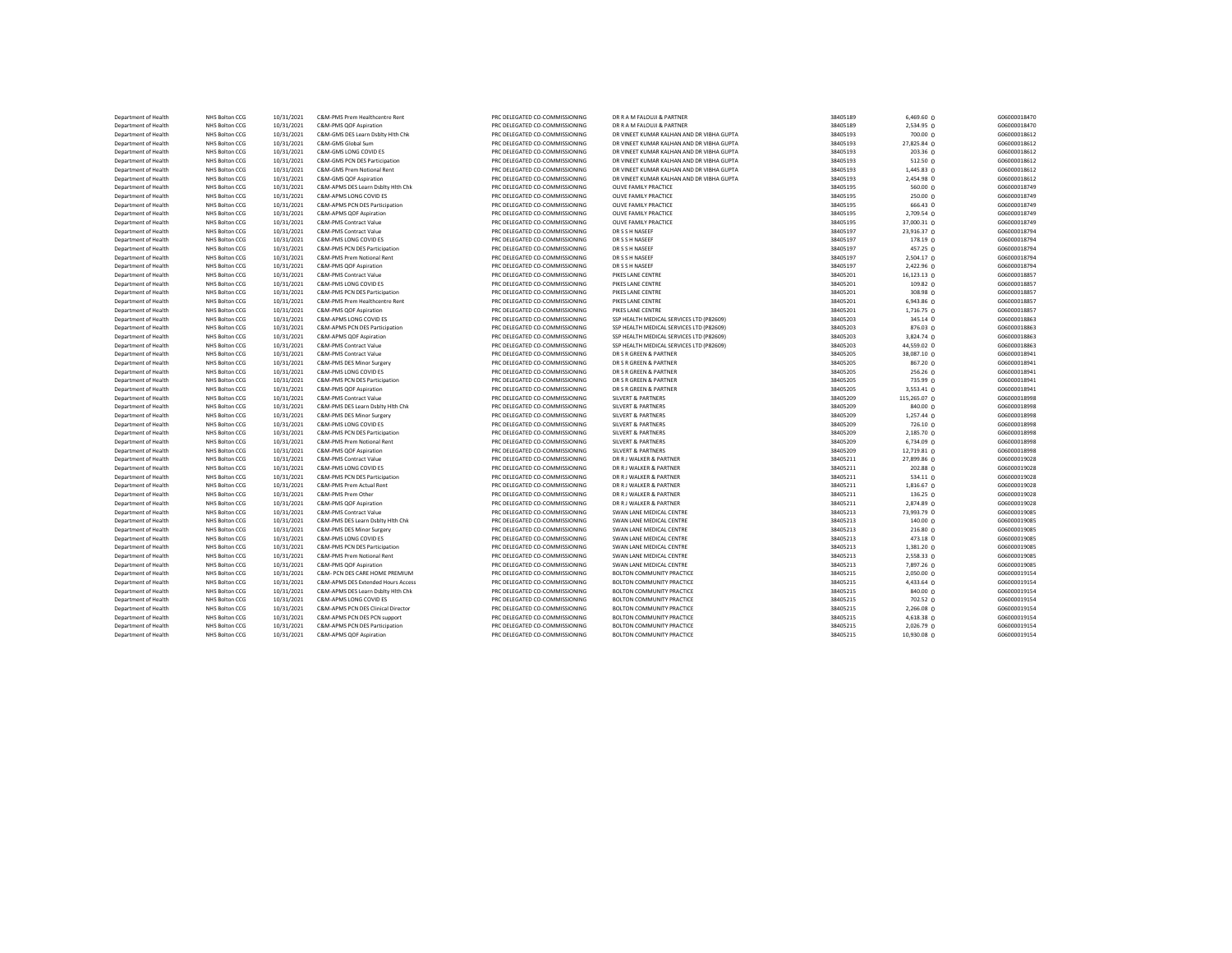| Department of Health | NHS Bolton CCG | 10/31/2021 | C&M-PMS Prem Healthcentre Rent     | PRC DELEGATED CO-COMMISSIONING | DR R A M FALOUJI & PARTNER                | 38405189 | 6,469.60 0      | G06000018470 |
|----------------------|----------------|------------|------------------------------------|--------------------------------|-------------------------------------------|----------|-----------------|--------------|
| Department of Health | NHS Bolton CCG | 10/31/2021 | C&M-PMS QOF Aspiration             | PRC DELEGATED CO-COMMISSIONING | DR R A M FALOUJI & PARTNER                | 38405189 | 2,534.95 0      | G06000018470 |
| Department of Health | NHS Bolton CCG | 10/31/2021 | C&M-GMS DES Learn Dsblty Hith Chk  | PRC DELEGATED CO-COMMISSIONING | DR VINEET KUMAR KALHAN AND DR VIBHA GUPTA | 38405193 | 700.00 0        | G06000018612 |
| Department of Health | NHS Bolton CCG | 10/31/2021 | C&M-GMS Global Sum                 | PRC DELEGATED CO-COMMISSIONING | DR VINEET KUMAR KALHAN AND DR VIBHA GUPTA | 38405193 | 27,825.84 0     | G06000018612 |
| Department of Health | NHS Bolton CCG | 10/31/2021 | C&M-GMS LONG COVID ES              | PRC DELEGATED CO-COMMISSIONING | DR VINEET KUMAR KALHAN AND DR VIBHA GUPTA | 38405193 | 203.36 0        | G06000018612 |
| Department of Health | NHS Bolton CCG | 10/31/2021 | C&M-GMS PCN DES Participation      | PRC DELEGATED CO-COMMISSIONING | DR VINEET KUMAR KALHAN AND DR VIBHA GUPTA | 38405193 | 512.50 0        | G06000018612 |
| Department of Health | NHS Bolton CCG | 10/31/2021 | C&M-GMS Prem Notional Rent         | PRC DELEGATED CO-COMMISSIONING | DR VINEET KUMAR KALHAN AND DR VIBHA GUPTA | 38405193 | 1,445.83 0      | G06000018612 |
| Department of Health | NHS Bolton CCG | 10/31/2021 | C&M-GMS QOF Aspiration             | PRC DELEGATED CO-COMMISSIONING | DR VINEET KUMAR KALHAN AND DR VIBHA GUPTA | 38405193 | 2,454.98 0      | G06000018612 |
|                      |                |            |                                    |                                |                                           |          |                 |              |
| Department of Health | NHS Bolton CCG | 10/31/2021 | C&M-APMS DES Learn Dsbltv Hith Chk | PRC DELEGATED CO-COMMISSIONING | <b>OLIVE FAMILY PRACTICE</b>              | 38405195 | 560.00 0        | G06000018749 |
| Department of Health | NHS Bolton CCG | 10/31/2021 | C&M-APMS LONG COVID ES             | PRC DELEGATED CO-COMMISSIONING | <b>OLIVE FAMILY PRACTICE</b>              | 38405195 | 250.00 0        | G06000018749 |
| Department of Health | NHS Bolton CCG | 10/31/2021 | C&M-APMS PCN DES Participation     | PRC DELEGATED CO-COMMISSIONING | <b>OLIVE FAMILY PRACTICE</b>              | 38405195 | 666.43 0        | G06000018749 |
| Department of Health | NHS Bolton CCG | 10/31/2021 | C&M-APMS QOF Aspiration            | PRC DELEGATED CO-COMMISSIONING | OLIVE FAMILY PRACTICE                     | 38405195 | 2,709.54 0      | G06000018749 |
| Department of Health | NHS Bolton CCG | 10/31/2021 | C&M-PMS Contract Value             | PRC DELEGATED CO-COMMISSIONING | <b>OLIVE FAMILY PRACTICE</b>              | 38405195 | 37,000.31 0     | G06000018749 |
| Department of Health | NHS Bolton CCG | 10/31/2021 | C&M-PMS Contract Value             | PRC DELEGATED CO-COMMISSIONING | DR S S H NASEEF                           | 38405197 | 23,916.37 0     | G06000018794 |
| Department of Health | NHS Bolton CCG | 10/31/2021 | C&M-PMS LONG COVID ES              | PRC DELEGATED CO-COMMISSIONING | DR S S H NASEEF                           | 38405197 | 178.19 0        | G06000018794 |
| Department of Health | NHS Bolton CCG | 10/31/2021 | C&M-PMS PCN DES Participation      | PRC DELEGATED CO-COMMISSIONING | DR S S H NASEEF                           | 38405197 | 457.25 0        | G06000018794 |
| Department of Health | NHS Bolton CCG | 10/31/2021 | C&M-PMS Prem Notional Rent         | PRC DELEGATED CO-COMMISSIONING | DR S S H NASEEF                           | 38405197 | 2,504.17 0      | G06000018794 |
| Department of Health | NHS Bolton CCG | 10/31/2021 | C&M-PMS OOF Aspiration             | PRC DELEGATED CO-COMMISSIONING | DR S S H NASEEF                           | 38405197 | 2,422.96 0      | G06000018794 |
| Department of Health | NHS Bolton CCG | 10/31/2021 | C&M-PMS Contract Value             | PRC DELEGATED CO-COMMISSIONING | PIKES LANE CENTRE                         | 38405201 | 16,123.13 0     | G06000018857 |
| Department of Health | NHS Bolton CCG | 10/31/2021 | C&M-PMS LONG COVID ES              | PRC DELEGATED CO-COMMISSIONING | PIKES LANE CENTRE                         | 38405201 | $109.82 \Omega$ | G06000018857 |
| Department of Health | NHS Bolton CCG | 10/31/2021 | C&M-PMS PCN DES Participation      | PRC DELEGATED CO-COMMISSIONING | PIKES LANE CENTRE                         | 38405201 | 308.98 0        | G06000018857 |
| Department of Health | NHS Bolton CCG | 10/31/2021 | C&M-PMS Prem Healthcentre Rent     | PRC DELEGATED CO-COMMISSIONING | PIKES LANE CENTRE                         | 38405201 | 6,943.86 0      | G06000018857 |
| Department of Health | NHS Bolton CCG | 10/31/2021 | C&M-PMS QOF Aspiration             | PRC DELEGATED CO-COMMISSIONING | PIKES LANE CENTRE                         | 38405201 | 1,716.75 0      | G06000018857 |
| Department of Health | NHS Bolton CCG | 10/31/2021 | C&M-APMS LONG COVID ES             | PRC DELEGATED CO-COMMISSIONING | SSP HEALTH MEDICAL SERVICES LTD (P82609)  | 38405203 | 345.14 0        | G06000018863 |
|                      | NHS Bolton CCG |            | C&M-APMS PCN DES Participation     | PRC DELEGATED CO-COMMISSIONING | SSP HEALTH MEDICAL SERVICES LTD (P82609)  |          |                 | G06000018863 |
| Department of Health |                | 10/31/2021 |                                    |                                |                                           | 38405203 | 876.03 0        |              |
| Department of Health | NHS Bolton CCG | 10/31/2021 | C&M-APMS QOF Aspiration            | PRC DELEGATED CO-COMMISSIONING | SSP HEALTH MEDICAL SERVICES LTD (P82609)  | 38405203 | 3,824.74 0      | G06000018863 |
| Department of Health | NHS Bolton CCG | 10/31/2021 | C&M-PMS Contract Value             | PRC DELEGATED CO-COMMISSIONING | SSP HEALTH MEDICAL SERVICES LTD (P82609)  | 38405203 | 44,559.02 0     | G06000018863 |
| Department of Health | NHS Bolton CCG | 10/31/2021 | C&M-PMS Contract Value             | PRC DELEGATED CO-COMMISSIONING | DR S R GREEN & PARTNER                    | 38405205 | 38,087.10 0     | G06000018941 |
| Department of Health | NHS Bolton CCG | 10/31/2021 | C&M-PMS DES Minor Surgery          | PRC DELEGATED CO-COMMISSIONING | DR S R GREEN & PARTNER                    | 38405205 | 867.20 0        | G06000018941 |
| Department of Health | NHS Bolton CCG | 10/31/2021 | C&M-PMS LONG COVID ES              | PRC DELEGATED CO-COMMISSIONING | DR S R GREEN & PARTNER                    | 38405205 | 256.26 0        | G06000018941 |
| Department of Health | NHS Bolton CCG | 10/31/2021 | C&M-PMS PCN DES Participation      | PRC DELEGATED CO-COMMISSIONING | DR S R GREEN & PARTNER                    | 38405205 | 735.99 0        | G06000018941 |
| Department of Health | NHS Bolton CCG | 10/31/2021 | C&M-PMS QOF Aspiration             | PRC DELEGATED CO-COMMISSIONING | DR S R GREEN & PARTNER                    | 38405205 | 3,553.41 0      | G06000018941 |
| Department of Health | NHS Bolton CCG | 10/31/2021 | C&M-PMS Contract Value             | PRC DELEGATED CO-COMMISSIONING | <b>SILVERT &amp; PARTNERS</b>             | 38405209 | 115,265.07 0    | G06000018998 |
| Department of Health | NHS Bolton CCG | 10/31/2021 | C&M-PMS DES Learn Dsblty Hith Chk  | PRC DELEGATED CO-COMMISSIONING | <b>SILVERT &amp; PARTNERS</b>             | 38405209 | 840.00 0        | G06000018998 |
| Department of Health | NHS Bolton CCG | 10/31/2021 | C&M-PMS DES Minor Surgery          | PRC DELEGATED CO-COMMISSIONING | <b>SILVERT &amp; PARTNERS</b>             | 38405209 | 1,257.44 0      | G06000018998 |
| Department of Health | NHS Bolton CCG | 10/31/2021 | C&M-PMS LONG COVID ES              | PRC DELEGATED CO-COMMISSIONING | <b>SILVERT &amp; PARTNERS</b>             | 38405209 | 726.10 0        | G06000018998 |
| Department of Health | NHS Bolton CCG | 10/31/2021 | C&M-PMS PCN DES Participation      | PRC DELEGATED CO-COMMISSIONING | <b>SILVERT &amp; PARTNERS</b>             | 38405209 | 2,185.70 0      | G06000018998 |
| Department of Health | NHS Bolton CCG | 10/31/2021 | C&M-PMS Prem Notional Rent         | PRC DELEGATED CO-COMMISSIONING | <b>SILVERT &amp; PARTNERS</b>             | 38405209 | 6,734.09 0      | G06000018998 |
| Department of Health | NHS Bolton CCG | 10/31/2021 | C&M-PMS QOF Aspiration             | PRC DELEGATED CO-COMMISSIONING | <b>SILVERT &amp; PARTNERS</b>             | 38405209 | 12,719.81 0     | G06000018998 |
| Department of Health | NHS Bolton CCG | 10/31/2021 | C&M-PMS Contract Value             | PRC DELEGATED CO-COMMISSIONING | DR R J WALKER & PARTNER                   | 38405211 | 27,899.86 0     | G06000019028 |
| Department of Health | NHS Bolton CCG | 10/31/2021 | C&M-PMS LONG COVID ES              | PRC DELEGATED CO-COMMISSIONING | DR R J WALKER & PARTNER                   | 38405211 | 202.88 0        | G06000019028 |
| Department of Health | NHS Bolton CCG | 10/31/2021 | C&M-PMS PCN DES Participation      | PRC DELEGATED CO-COMMISSIONING | DR R J WALKER & PARTNER                   | 38405211 | $534.11$ 0      | G06000019028 |
| Department of Health | NHS Bolton CCG | 10/31/2021 | C&M-PMS Prem Actual Rent           | PRC DELEGATED CO-COMMISSIONING | DR R J WALKER & PARTNER                   | 38405211 |                 | G06000019028 |
|                      |                |            |                                    |                                |                                           |          | 1,816.67 0      |              |
| Department of Health | NHS Bolton CCG | 10/31/2021 | C&M-PMS Prem Other                 | PRC DELEGATED CO-COMMISSIONING | DR R J WALKER & PARTNER                   | 38405211 | $136.25$ 0      | G06000019028 |
| Department of Health | NHS Bolton CCG | 10/31/2021 | C&M-PMS QOF Aspiration             | PRC DELEGATED CO-COMMISSIONING | DR R J WALKER & PARTNER                   | 38405211 | 2,874.89 0      | G06000019028 |
| Department of Health | NHS Bolton CCG | 10/31/2021 | C&M-PMS Contract Value             | PRC DELEGATED CO-COMMISSIONING | SWAN LANE MEDICAL CENTRE                  | 38405213 | 73,993.79 0     | G06000019085 |
| Department of Health | NHS Bolton CCG | 10/31/2021 | C&M-PMS DES Learn Dsblty Hith Chk  | PRC DELEGATED CO-COMMISSIONING | SWAN LANE MEDICAL CENTRE                  | 38405213 | 140.00 0        | G06000019085 |
| Department of Health | NHS Bolton CCG | 10/31/2021 | C&M-PMS DES Minor Surgery          | PRC DELEGATED CO-COMMISSIONING | SWAN LANE MEDICAL CENTRE                  | 38405213 | 216.80 0        | G06000019085 |
| Department of Health | NHS Bolton CCG | 10/31/2021 | C&M-PMS LONG COVID ES              | PRC DELEGATED CO-COMMISSIONING | SWAN LANE MEDICAL CENTRE                  | 38405213 | 473.18 0        | G06000019085 |
| Department of Health | NHS Bolton CCG | 10/31/2021 | C&M-PMS PCN DES Participation      | PRC DELEGATED CO-COMMISSIONING | SWAN LANE MEDICAL CENTRE                  | 38405213 | 1,381.20 0      | G06000019085 |
| Department of Health | NHS Bolton CCG | 10/31/2021 | C&M-PMS Prem Notional Rent         | PRC DELEGATED CO-COMMISSIONING | SWAN LANE MEDICAL CENTRE                  | 38405213 | 2,558.33 0      | G06000019085 |
| Department of Health | NHS Bolton CCG | 10/31/2021 | C&M-PMS QOF Aspiration             | PRC DELEGATED CO-COMMISSIONING | SWAN LANE MEDICAL CENTRE                  | 38405213 | 7,897.26 0      | G06000019085 |
| Department of Health | NHS Bolton CCG | 10/31/2021 | C&M- PCN DES CARE HOME PREMIUM     | PRC DELEGATED CO-COMMISSIONING | <b>BOLTON COMMUNITY PRACTICE</b>          | 38405215 | 2,050.00 0      | G06000019154 |
| Department of Health | NHS Bolton CCG | 10/31/2021 | C&M-APMS DES Extended Hours Access | PRC DELEGATED CO-COMMISSIONING | <b>BOLTON COMMUNITY PRACTICE</b>          | 38405215 | 4,433.64 0      | G06000019154 |
| Department of Health | NHS Bolton CCG | 10/31/2021 | C&M-APMS DES Learn Dsblty Hith Chk | PRC DELEGATED CO-COMMISSIONING | <b>BOLTON COMMUNITY PRACTICE</b>          | 38405215 | 840.00 0        | G06000019154 |
| Department of Health | NHS Bolton CCG | 10/31/2021 | C&M-APMS LONG COVID ES             | PRC DELEGATED CO-COMMISSIONING | <b>BOLTON COMMUNITY PRACTICE</b>          | 38405215 | 702.52 0        | G06000019154 |
| Department of Health | NHS Bolton CCG | 10/31/2021 | C&M-APMS PCN DES Clinical Director | PRC DELEGATED CO-COMMISSIONING | <b>BOLTON COMMUNITY PRACTICE</b>          | 38405215 | 2,266.08 0      | G06000019154 |
| Department of Health | NHS Bolton CCG | 10/31/2021 | C&M-APMS PCN DES PCN support       | PRC DELEGATED CO-COMMISSIONING | <b>BOLTON COMMUNITY PRACTICE</b>          | 38405215 | 4,618.38 0      | G06000019154 |
| Department of Health | NHS Bolton CCG | 10/31/2021 | C&M-APMS PCN DES Participation     | PRC DELEGATED CO-COMMISSIONING | <b>BOLTON COMMUNITY PRACTICE</b>          | 38405215 | 2,026.79 0      | G06000019154 |
|                      | NHS Bolton CCG |            | C&M-APMS QOF Aspiration            | PRC DELEGATED CO-COMMISSIONING | <b>BOLTON COMMUNITY PRACTICE</b>          | 38405215 |                 | G06000019154 |
| Department of Health |                | 10/31/2021 |                                    |                                |                                           |          | 10,930.08 0     |              |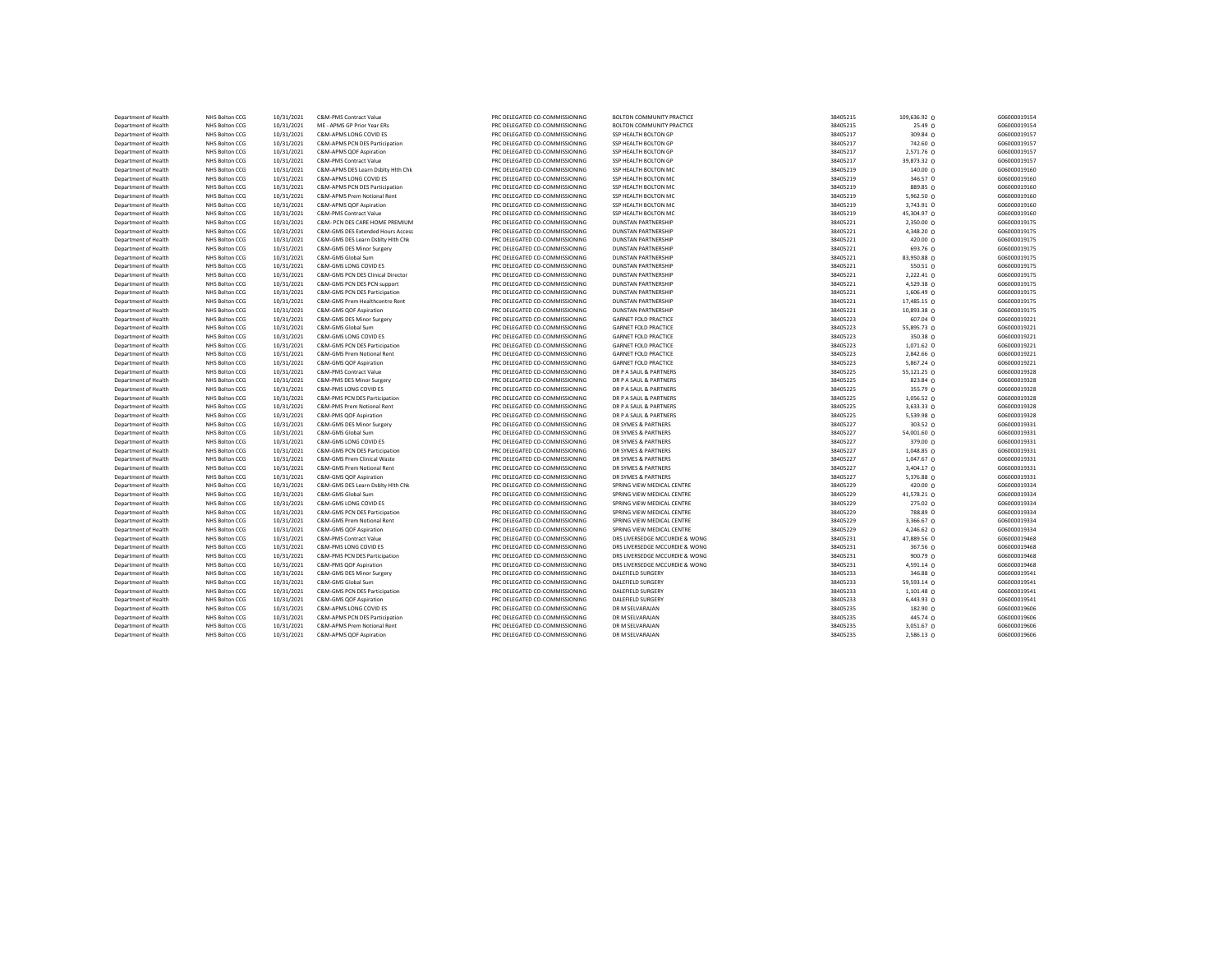| Department of Health | NHS Bolton CCG | 10/31/2021 | C&M-PMS Contract Value             | PRC DELEGATED CO-COMMISSIONING | <b>BOLTON COMMUNITY PRACTICE</b> | 38405215 | 109,636.92 0 | G06000019154 |
|----------------------|----------------|------------|------------------------------------|--------------------------------|----------------------------------|----------|--------------|--------------|
| Department of Health | NHS Bolton CCG | 10/31/2021 | ME - APMS GP Prior Year ERs        | PRC DELEGATED CO-COMMISSIONING | <b>BOLTON COMMUNITY PRACTICE</b> | 38405215 | 25.49 0      | G06000019154 |
| Department of Health | NHS Bolton CCG | 10/31/2021 | C&M-APMS LONG COVID ES             | PRC DELEGATED CO-COMMISSIONING | SSP HEALTH BOLTON GP             | 38405217 | 309.84 0     | G06000019157 |
| Department of Health | NHS Bolton CCG | 10/31/2021 | C&M-APMS PCN DES Participation     | PRC DELEGATED CO-COMMISSIONING | SSP HEALTH BOLTON GP             | 38405217 | 742.60 0     | G06000019157 |
| Department of Health | NHS Bolton CCG | 10/31/2021 | C&M-APMS QOF Aspiration            | PRC DELEGATED CO-COMMISSIONING | SSP HEALTH BOLTON GP             | 38405217 | 2,571.76 0   | G06000019157 |
| Department of Health | NHS Bolton CCG | 10/31/2021 | C&M-PMS Contract Value             | PRC DELEGATED CO-COMMISSIONING | SSP HEALTH BOLTON GP             | 38405217 | 39,873.32 0  | G06000019157 |
| Department of Health | NHS Bolton CCG | 10/31/2021 | C&M-APMS DES Learn Dsblty Hith Chk | PRC DELEGATED CO-COMMISSIONING | SSP HEALTH BOLTON MC             | 38405219 | 140.00 0     | G06000019160 |
| Department of Health | NHS Bolton CCG | 10/31/2021 | C&M-APMS LONG COVID ES             | PRC DELEGATED CO-COMMISSIONING | SSP HEALTH BOLTON MC             | 38405219 | 346.57 0     | G06000019160 |
| Department of Health | NHS Bolton CCG | 10/31/2021 | C&M-APMS PCN DES Participation     | PRC DELEGATED CO-COMMISSIONING | SSP HEALTH BOLTON MC             | 38405219 | 889.85 0     | G06000019160 |
| Department of Health | NHS Bolton CCG | 10/31/2021 | C&M-APMS Prem Notional Rent        | PRC DELEGATED CO-COMMISSIONING | SSP HEALTH BOLTON MC             | 38405219 | 5,962.50 0   | G06000019160 |
| Department of Health | NHS Bolton CCG | 10/31/2021 | C&M-APMS QOF Aspiration            | PRC DELEGATED CO-COMMISSIONING | SSP HEALTH BOLTON MC             | 38405219 | 3,743.91 0   | G06000019160 |
| Department of Health | NHS Bolton CCG | 10/31/2021 | C&M-PMS Contract Value             | PRC DELEGATED CO-COMMISSIONING | SSP HEALTH BOLTON MC             | 38405219 | 45,304.97 0  | G06000019160 |
| Department of Health | NHS Bolton CCG | 10/31/2021 | C&M- PCN DES CARE HOME PREMIUM     | PRC DELEGATED CO-COMMISSIONING | <b>DUNSTAN PARTNERSHIP</b>       | 38405221 | 2,350.00 0   | G06000019175 |
| Department of Health | NHS Bolton CCG | 10/31/2021 | C&M-GMS DES Extended Hours Access  | PRC DELEGATED CO-COMMISSIONING | <b>DUNSTAN PARTNERSHIP</b>       | 38405221 | 4,348.20 0   | G06000019175 |
| Department of Health | NHS Bolton CCG | 10/31/2021 | C&M-GMS DES Learn Dsblty Hith Chk  | PRC DELEGATED CO-COMMISSIONING | <b>DUNSTAN PARTNERSHIP</b>       | 38405221 | 420.00 0     | G06000019175 |
| Department of Health | NHS Bolton CCG | 10/31/2021 | C&M-GMS DES Minor Surgery          | PRC DELEGATED CO-COMMISSIONING | <b>DUNSTAN PARTNERSHIP</b>       | 38405221 | 693.76 0     | G06000019175 |
| Department of Health | NHS Bolton CCG | 10/31/2021 | C&M-GMS Global Sum                 | PRC DELEGATED CO-COMMISSIONING | <b>DUNSTAN PARTNERSHIP</b>       | 38405221 | 83,950.88 0  | G06000019175 |
| Department of Health | NHS Bolton CCG | 10/31/2021 | C&M-GMS LONG COVID ES              | PRC DELEGATED CO-COMMISSIONING | <b>DUNSTAN PARTNERSHIP</b>       | 38405221 | 550.51 0     | G06000019175 |
| Department of Health | NHS Bolton CCG | 10/31/2021 | C&M-GMS PCN DES Clinical Director  | PRC DELEGATED CO-COMMISSIONING | <b>DUNSTAN PARTNERSHIP</b>       | 38405221 | $2,222.41$ 0 | G06000019175 |
| Department of Health | NHS Bolton CCG | 10/31/2021 | C&M-GMS PCN DES PCN support        | PRC DELEGATED CO-COMMISSIONING | <b>DUNSTAN PARTNERSHIP</b>       | 38405221 | $4,529.38$ 0 | G06000019175 |
| Department of Health | NHS Bolton CCG | 10/31/2021 | C&M-GMS PCN DES Participation      | PRC DELEGATED CO-COMMISSIONING | <b>DUNSTAN PARTNERSHIP</b>       | 38405221 | $1,606.49$ 0 | G06000019175 |
| Department of Health | NHS Bolton CCG | 10/31/2021 | C&M-GMS Prem Healthcentre Rent     | PRC DELEGATED CO-COMMISSIONING | <b>DUNSTAN PARTNERSHIP</b>       | 38405221 | 17,485.15 0  | G06000019175 |
|                      |                |            |                                    |                                |                                  |          |              |              |
| Department of Health | NHS Bolton CCG | 10/31/2021 | C&M-GMS QOF Aspiration             | PRC DELEGATED CO-COMMISSIONING | <b>DUNSTAN PARTNERSHIP</b>       | 38405221 | 10,893.38 0  | G06000019175 |
| Department of Health | NHS Bolton CCG | 10/31/2021 | C&M-GMS DES Minor Surgery          | PRC DELEGATED CO-COMMISSIONING | <b>GARNET FOLD PRACTICE</b>      | 38405223 | 607.04 0     | G06000019221 |
| Department of Health | NHS Bolton CCG | 10/31/2021 | C&M-GMS Global Sum                 | PRC DELEGATED CO-COMMISSIONING | <b>GARNET FOLD PRACTICE</b>      | 38405223 | 55,895.73 0  | G06000019221 |
| Department of Health | NHS Bolton CCG | 10/31/2021 | C&M-GMS LONG COVID ES              | PRC DELEGATED CO-COMMISSIONING | <b>GARNET FOLD PRACTICE</b>      | 38405223 | 350.38 0     | G06000019221 |
| Department of Health | NHS Bolton CCG | 10/31/2021 | C&M-GMS PCN DES Participation      | PRC DELEGATED CO-COMMISSIONING | <b>GARNET FOLD PRACTICE</b>      | 38405223 | 1,071.62 0   | G06000019221 |
| Department of Health | NHS Bolton CCG | 10/31/2021 | C&M-GMS Prem Notional Rent         | PRC DELEGATED CO-COMMISSIONING | <b>GARNET FOLD PRACTICE</b>      | 38405223 | 2,842.66 0   | G06000019221 |
| Department of Health | NHS Bolton CCG | 10/31/2021 | C&M-GMS QOF Aspiration             | PRC DELEGATED CO-COMMISSIONING | <b>GARNET FOLD PRACTICE</b>      | 38405223 | 5,867.24 0   | G06000019221 |
| Department of Health | NHS Bolton CCG | 10/31/2021 | C&M-PMS Contract Value             | PRC DELEGATED CO-COMMISSIONING | DR P A SAUL & PARTNERS           | 38405225 | 55,121.25 0  | G06000019328 |
| Department of Health | NHS Bolton CCG | 10/31/2021 | C&M-PMS DES Minor Surgery          | PRC DELEGATED CO-COMMISSIONING | DR P A SAUL & PARTNERS           | 38405225 | 823.84 0     | G06000019328 |
| Department of Health | NHS Bolton CCG | 10/31/2021 | C&M-PMS LONG COVID ES              | PRC DELEGATED CO-COMMISSIONING | DR P A SAUL & PARTNERS           | 38405225 | 355.79 0     | G06000019328 |
| Department of Health | NHS Bolton CCG | 10/31/2021 | C&M-PMS PCN DES Participation      | PRC DELEGATED CO-COMMISSIONING | DR P A SAUL & PARTNERS           | 38405225 | 1,056.52 0   | G06000019328 |
| Department of Health | NHS Bolton CCG | 10/31/2021 | C&M-PMS Prem Notional Rent         | PRC DELEGATED CO-COMMISSIONING | DR P A SAUL & PARTNERS           | 38405225 | 3,633.33 0   | G06000019328 |
| Department of Health | NHS Bolton CCG | 10/31/2021 | C&M-PMS QOF Aspiration             | PRC DELEGATED CO-COMMISSIONING | DR P A SAUL & PARTNERS           | 38405225 | 5,539.98 0   | G06000019328 |
| Department of Health | NHS Bolton CCG | 10/31/2021 | C&M-GMS DES Minor Surgery          | PRC DELEGATED CO-COMMISSIONING | DR SYMES & PARTNERS              | 38405227 | 303.52 0     | G06000019331 |
| Department of Health | NHS Bolton CCG | 10/31/2021 | C&M-GMS Global Sum                 | PRC DELEGATED CO-COMMISSIONING | DR SYMES & PARTNERS              | 38405227 | 54,001.60 0  | G06000019331 |
| Department of Health | NHS Bolton CCG | 10/31/2021 | C&M-GMS LONG COVID ES              | PRC DELEGATED CO-COMMISSIONING | DR SYMES & PARTNERS              | 38405227 | 379.00 0     | G06000019331 |
| Department of Health | NHS Bolton CCG | 10/31/2021 | C&M-GMS PCN DES Participation      | PRC DELEGATED CO-COMMISSIONING | DR SYMES & PARTNERS              | 38405227 | 1,048.85 0   | G06000019331 |
| Department of Health | NHS Bolton CCG | 10/31/2021 | C&M-GMS Prem Clinical Waste        | PRC DELEGATED CO-COMMISSIONING | DR SYMES & PARTNERS              | 38405227 | 1,047.67 0   | G06000019331 |
| Department of Health | NHS Bolton CCG | 10/31/2021 | C&M-GMS Prem Notional Rent         | PRC DELEGATED CO-COMMISSIONING | DR SYMES & PARTNERS              | 38405227 | 3,404.17 0   | G06000019331 |
| Department of Health | NHS Bolton CCG | 10/31/2021 | C&M-GMS QOF Aspiration             | PRC DELEGATED CO-COMMISSIONING | DR SYMES & PARTNERS              | 38405227 | 5,376.88 0   | G06000019331 |
| Department of Health | NHS Bolton CCG | 10/31/2021 | C&M-GMS DES Learn Dsblty Hith Chk  | PRC DELEGATED CO-COMMISSIONING | SPRING VIEW MEDICAL CENTRE       | 38405229 | 420.00 0     | G06000019334 |
| Department of Health | NHS Bolton CCG | 10/31/2021 | C&M-GMS Global Sum                 | PRC DELEGATED CO-COMMISSIONING | SPRING VIEW MEDICAL CENTRE       | 38405229 | 41,578.21 0  | G06000019334 |
| Department of Health | NHS Bolton CCG | 10/31/2021 | C&M-GMS LONG COVID ES              | PRC DELEGATED CO-COMMISSIONING | SPRING VIEW MEDICAL CENTRE       | 38405229 | 275.02 0     | G06000019334 |
| Department of Health | NHS Bolton CCG | 10/31/2021 | C&M-GMS PCN DES Participation      | PRC DELEGATED CO-COMMISSIONING | SPRING VIEW MEDICAL CENTRE       | 38405229 | 788.89 0     | G06000019334 |
| Department of Health | NHS Bolton CCG | 10/31/2021 | C&M-GMS Prem Notional Rent         | PRC DELEGATED CO-COMMISSIONING | SPRING VIEW MEDICAL CENTRE       | 38405229 | 3,366.67 0   | G06000019334 |
| Department of Health | NHS Bolton CCG | 10/31/2021 | C&M-GMS QOF Aspiration             | PRC DELEGATED CO-COMMISSIONING | SPRING VIEW MEDICAL CENTRE       | 38405229 | 4,246.62 0   | G06000019334 |
| Department of Health | NHS Bolton CCG | 10/31/2021 | C&M-PMS Contract Value             | PRC DELEGATED CO-COMMISSIONING | DRS LIVERSEDGE MCCURDIE & WONG   | 38405231 | 47,889.56 0  | G06000019468 |
| Department of Health | NHS Bolton CCG | 10/31/2021 | C&M-PMS LONG COVID ES              | PRC DELEGATED CO-COMMISSIONING | DRS LIVERSEDGE MCCURDIE & WONG   | 38405231 | 367.56 0     | G06000019468 |
|                      |                | 10/31/2021 |                                    |                                |                                  | 38405231 |              | G06000019468 |
| Department of Health | NHS Bolton CCG | 10/31/2021 | C&M-PMS PCN DES Participation      | PRC DELEGATED CO-COMMISSIONING | DRS LIVERSEDGE MCCURDIE & WONG   |          | 900.79 0     |              |
| Department of Health | NHS Bolton CCG |            | C&M-PMS QOF Aspiration             | PRC DELEGATED CO-COMMISSIONING | DRS LIVERSEDGE MCCURDIE & WONG   | 38405231 | 4,591.14 0   | G06000019468 |
| Department of Health | NHS Bolton CCG | 10/31/2021 | C&M-GMS DES Minor Surgery          | PRC DELEGATED CO-COMMISSIONING | <b>DALEFIELD SURGERY</b>         | 38405233 | 346.88 0     | G06000019541 |
| Department of Health | NHS Bolton CCG | 10/31/2021 | C&M-GMS Global Sum                 | PRC DELEGATED CO-COMMISSIONING | <b>DALEFIELD SURGERY</b>         | 38405233 | 59,593.14 0  | G06000019541 |
| Department of Health | NHS Bolton CCG | 10/31/2021 | C&M-GMS PCN DES Participation      | PRC DELEGATED CO-COMMISSIONING | <b>DALEFIELD SURGERY</b>         | 38405233 | 1,101.48 0   | G06000019541 |
| Department of Health | NHS Bolton CCG | 10/31/2021 | C&M-GMS QOF Aspiration             | PRC DELEGATED CO-COMMISSIONING | <b>DALEFIELD SURGERY</b>         | 38405233 | 6,443.93 0   | G06000019541 |
| Department of Health | NHS Bolton CCG | 10/31/2021 | C&M-APMS LONG COVID ES             | PRC DELEGATED CO-COMMISSIONING | DR M SELVARAJAN                  | 38405235 | 182.90 0     | G06000019606 |
| Department of Health | NHS Bolton CCG | 10/31/2021 | C&M-APMS PCN DES Participation     | PRC DELEGATED CO-COMMISSIONING | DR M SELVARAJAN                  | 38405235 | 445.74 0     | G06000019606 |
| Department of Health | NHS Bolton CCG | 10/31/2021 | C&M-APMS Prem Notional Rent        | PRC DELEGATED CO-COMMISSIONING | DR M SELVARAJAN                  | 38405235 | 3,051.67 0   | G06000019606 |
| Department of Health | NHS Bolton CCG | 10/31/2021 | C&M-APMS QOF Aspiration            | PRC DELEGATED CO-COMMISSIONING | DR M SELVARAJAN                  | 38405235 | 2,586.13 0   | G06000019606 |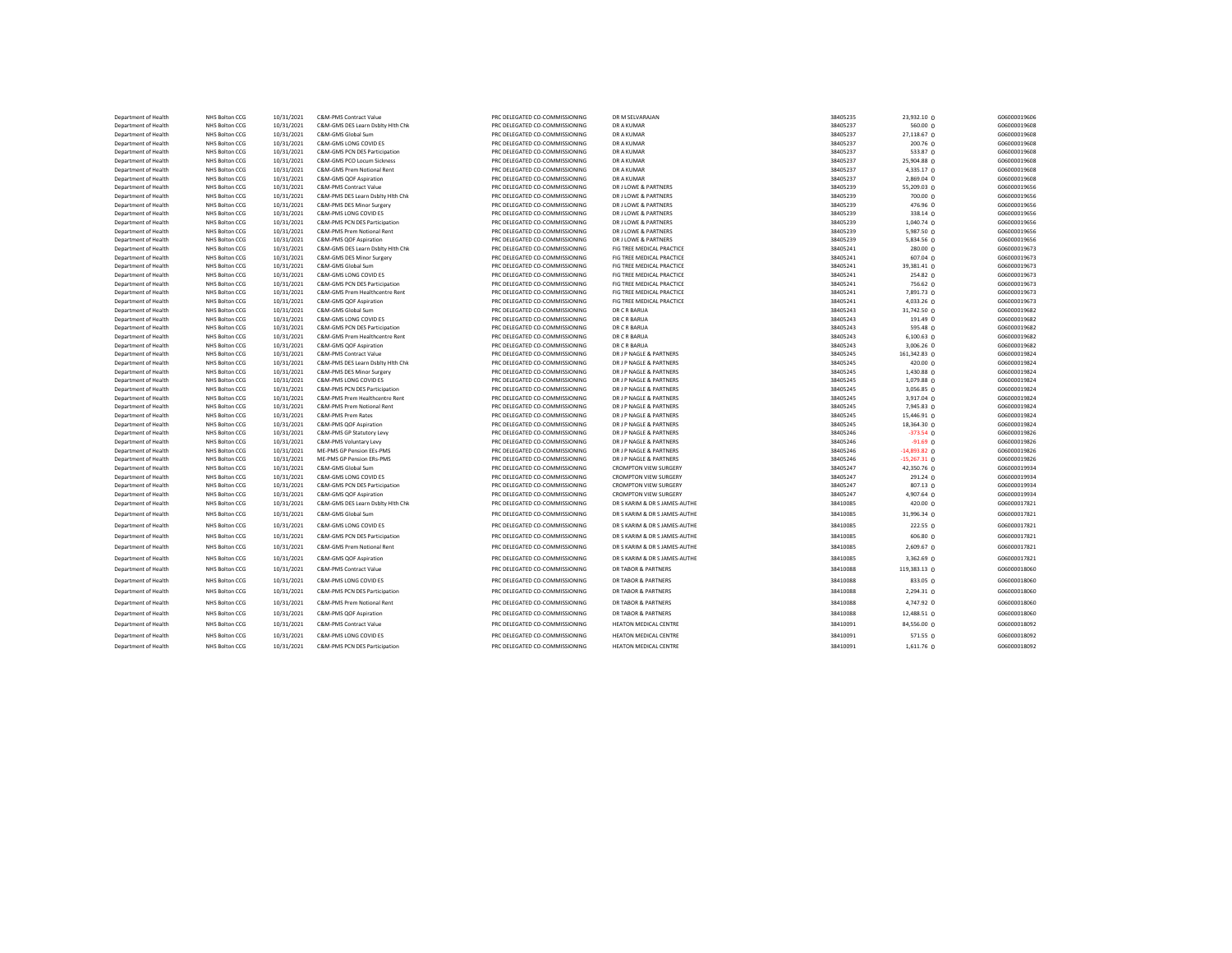| Department of Health | NHS Bolton CCG                   | 10/31/2021 | C&M-PMS Contract Value                                          | PRC DELEGATED CO-COMMISSIONING | DR M SELVARAJAN               | 38405235 | 23,932.10 0            | G06000019606 |
|----------------------|----------------------------------|------------|-----------------------------------------------------------------|--------------------------------|-------------------------------|----------|------------------------|--------------|
| Department of Health | NHS Bolton CCG                   | 10/31/2021 | C&M-GMS DES Learn Dsblty Hith Chk                               | PRC DELEGATED CO-COMMISSIONING | DR A KUMAR                    | 38405237 | 560.00 0               | G06000019608 |
| Department of Health | NHS Bolton CCG                   | 10/31/2021 | C&M-GMS Global Sum                                              | PRC DELEGATED CO-COMMISSIONING | <b>DR A KUMAR</b>             | 38405237 | 27,118.67 0            | G06000019608 |
| Department of Health | NHS Bolton CCG                   | 10/31/2021 | C&M-GMS LONG COVID ES                                           | PRC DELEGATED CO-COMMISSIONING | DR A KUMAR                    | 38405237 | 200.76 0               | G06000019608 |
| Department of Health | NHS Bolton CCG                   | 10/31/2021 | C&M-GMS PCN DES Participation                                   | PRC DELEGATED CO-COMMISSIONING | DR A KUMAR                    | 38405237 | 533.87 0               | G06000019608 |
| Department of Health | NHS Bolton CCG                   | 10/31/2021 | C&M-GMS PCO Locum Sickness                                      | PRC DELEGATED CO-COMMISSIONING | DR A KUMAR                    | 38405237 | 25,904.88 0            | G06000019608 |
| Department of Health | NHS Bolton CCG                   | 10/31/2021 | C&M-GMS Prem Notional Rent                                      | PRC DELEGATED CO-COMMISSIONING | DR A KUMAR                    | 38405237 | 4,335.17 0             | G06000019608 |
| Department of Health | NHS Bolton CCG                   | 10/31/2021 | C&M-GMS QOF Aspiration                                          | PRC DELEGATED CO-COMMISSIONING | <b>DR A KUMAR</b>             | 38405237 | 2,869.04 0             | G06000019608 |
| Department of Health | NHS Bolton CCG                   | 10/31/2021 | C&M-PMS Contract Value                                          | PRC DELEGATED CO-COMMISSIONING | DR J LOWE & PARTNERS          | 38405239 | 55,209.03 0            | G06000019656 |
| Department of Health | NHS Bolton CCG                   | 10/31/2021 | C&M-PMS DES Learn Dsblty Hith Chk                               | PRC DELEGATED CO-COMMISSIONING | DR J LOWE & PARTNERS          | 38405239 | 700.00 0               | G06000019656 |
| Department of Health | NHS Bolton CCG                   | 10/31/2021 | C&M-PMS DES Minor Surgery                                       | PRC DELEGATED CO-COMMISSIONING | DR J LOWE & PARTNERS          | 38405239 | 476.96 0               | G06000019656 |
| Department of Health | NHS Bolton CCG                   | 10/31/2021 | C&M-PMS LONG COVID ES                                           | PRC DELEGATED CO-COMMISSIONING | DR J LOWE & PARTNERS          | 38405239 | 338.14 0               | G06000019656 |
| Department of Health | NHS Bolton CCG                   | 10/31/2021 | C&M-PMS PCN DES Participation                                   | PRC DELEGATED CO-COMMISSIONING | DR J LOWE & PARTNERS          | 38405239 | 1,040.74 0             | G06000019656 |
| Department of Health | NHS Bolton CCG                   | 10/31/2021 | C&M-PMS Prem Notional Rent                                      | PRC DELEGATED CO-COMMISSIONING | DR J LOWE & PARTNERS          | 38405239 | 5,987.50 0             | G06000019656 |
| Department of Health | NHS Bolton CCG                   | 10/31/2021 | C&M-PMS QOF Aspiration                                          | PRC DELEGATED CO-COMMISSIONING | DR J LOWE & PARTNERS          | 38405239 | 5,834.56 0             | G06000019656 |
| Department of Health | NHS Bolton CCG                   | 10/31/2021 | C&M-GMS DES Learn Dsblty Hith Chk                               | PRC DELEGATED CO-COMMISSIONING | FIG TREE MEDICAL PRACTICE     | 38405241 | 280.00 0               | G06000019673 |
| Department of Health | NHS Bolton CCG                   | 10/31/2021 | C&M-GMS DES Minor Surgery                                       | PRC DELEGATED CO-COMMISSIONING | FIG TREE MEDICAL PRACTICE     | 38405241 | 607.04 0               | G06000019673 |
| Department of Health | NHS Bolton CCG                   | 10/31/2021 | C&M-GMS Global Sum                                              | PRC DELEGATED CO-COMMISSIONING | FIG TREE MEDICAL PRACTICE     | 38405241 | 39,381.41 0            | G06000019673 |
| Department of Health | NHS Bolton CCG                   | 10/31/2021 | C&M-GMS LONG COVID ES                                           | PRC DELEGATED CO-COMMISSIONING | FIG TREE MEDICAL PRACTICE     | 38405241 | $254.82 \Omega$        | G06000019673 |
| Department of Health |                                  | 10/31/2021 |                                                                 | PRC DELEGATED CO-COMMISSIONING | FIG TREE MEDICAL PRACTICE     | 38405241 |                        | G06000019673 |
|                      | NHS Bolton CCG<br>NHS Bolton CCG | 10/31/2021 | C&M-GMS PCN DES Participation<br>C&M-GMS Prem Healthcentre Rent | PRC DELEGATED CO-COMMISSIONING | FIG TREE MEDICAL PRACTICE     | 38405241 | 756.62 0<br>7,891.73 0 | G06000019673 |
| Department of Health |                                  |            |                                                                 |                                | FIG TREE MEDICAL PRACTICE     |          |                        |              |
| Department of Health | NHS Bolton CCG                   | 10/31/2021 | C&M-GMS QOF Aspiration                                          | PRC DELEGATED CO-COMMISSIONING |                               | 38405241 | $4,033.26$ 0           | G06000019673 |
| Department of Health | NHS Bolton CCG                   | 10/31/2021 | C&M-GMS Global Sum                                              | PRC DELEGATED CO-COMMISSIONING | DR C R BARUA                  | 38405243 | 31,742.50 0            | G06000019682 |
| Department of Health | NHS Bolton CCG                   | 10/31/2021 | C&M-GMS LONG COVID ES                                           | PRC DELEGATED CO-COMMISSIONING | DR C R BARUA                  | 38405243 | 191.49 0               | G06000019682 |
| Department of Health | NHS Bolton CCG                   | 10/31/2021 | C&M-GMS PCN DES Participation                                   | PRC DELEGATED CO-COMMISSIONING | DR C R BARUA                  | 38405243 | 595.48 0               | G06000019682 |
| Department of Health | NHS Bolton CCG                   | 10/31/2021 | C&M-GMS Prem Healthcentre Rent                                  | PRC DELEGATED CO-COMMISSIONING | DR C R BARUA                  | 38405243 | 6,100.63 0             | G06000019682 |
| Department of Health | NHS Bolton CCG                   | 10/31/2021 | C&M-GMS QOF Aspiration                                          | PRC DELEGATED CO-COMMISSIONING | DR C R BARUA                  | 38405243 | 3,006.26 0             | G06000019682 |
| Department of Health | NHS Bolton CCG                   | 10/31/2021 | C&M-PMS Contract Value                                          | PRC DELEGATED CO-COMMISSIONING | DR J P NAGLE & PARTNERS       | 38405245 | 161,342.83 0           | G06000019824 |
| Department of Health | NHS Bolton CCG                   | 10/31/2021 | C&M-PMS DES Learn Dsblty Hith Chk                               | PRC DELEGATED CO-COMMISSIONING | DR J P NAGLE & PARTNERS       | 38405245 | 420.00 0               | G06000019824 |
| Department of Health | NHS Bolton CCG                   | 10/31/2021 | C&M-PMS DES Minor Surgery                                       | PRC DELEGATED CO-COMMISSIONING | DR J P NAGLE & PARTNERS       | 38405245 | 1,430.88 0             | G06000019824 |
| Department of Health | NHS Bolton CCG                   | 10/31/2021 | C&M-PMS LONG COVID ES                                           | PRC DELEGATED CO-COMMISSIONING | DR J P NAGLE & PARTNERS       | 38405245 | 1,079.88 0             | G06000019824 |
| Department of Health | NHS Bolton CCG                   | 10/31/2021 | C&M-PMS PCN DES Participation                                   | PRC DELEGATED CO-COMMISSIONING | DR J P NAGLE & PARTNERS       | 38405245 | 3,056.85 0             | G06000019824 |
| Department of Health | NHS Bolton CCG                   | 10/31/2021 | C&M-PMS Prem Healthcentre Rent                                  | PRC DELEGATED CO-COMMISSIONING | DR J P NAGLE & PARTNERS       | 38405245 | 3,917.04 0             | G06000019824 |
| Department of Health | NHS Bolton CCG                   | 10/31/2021 | C&M-PMS Prem Notional Rent                                      | PRC DELEGATED CO-COMMISSIONING | DR J P NAGLE & PARTNERS       | 38405245 | 7,945.83 0             | G06000019824 |
| Department of Health | NHS Bolton CCG                   | 10/31/2021 | C&M-PMS Prem Rates                                              | PRC DELEGATED CO-COMMISSIONING | DR J P NAGLE & PARTNERS       | 38405245 | 15,446.91 0            | G06000019824 |
| Department of Health | NHS Bolton CCG                   | 10/31/2021 | C&M-PMS QOF Aspiration                                          | PRC DELEGATED CO-COMMISSIONING | DR J P NAGLE & PARTNERS       | 38405245 | 18,364.30 0            | G06000019824 |
| Department of Health | NHS Bolton CCG                   | 10/31/2021 | C&M-PMS GP Statutory Levy                                       | PRC DELEGATED CO-COMMISSIONING | DR J P NAGLE & PARTNERS       | 38405246 | $-373.54$ 0            | G06000019826 |
| Department of Health | NHS Bolton CCG                   | 10/31/2021 | C&M-PMS Voluntary Levy                                          | PRC DELEGATED CO-COMMISSIONING | DR J P NAGLE & PARTNERS       | 38405246 | $-91.69$ 0             | G06000019826 |
| Department of Health | NHS Bolton CCG                   | 10/31/2021 | ME-PMS GP Pension EEs-PMS                                       | PRC DELEGATED CO-COMMISSIONING | DR J P NAGLE & PARTNERS       | 38405246 | $-14,893.82$ 0         | G06000019826 |
| Department of Health | NHS Bolton CCG                   | 10/31/2021 | ME-PMS GP Pension ERs-PMS                                       | PRC DELEGATED CO-COMMISSIONING | DR J P NAGLE & PARTNERS       | 38405246 | $-15,267.31$ 0         | G06000019826 |
| Department of Health | NHS Bolton CCG                   | 10/31/2021 | C&M-GMS Global Sum                                              | PRC DELEGATED CO-COMMISSIONING | <b>CROMPTON VIEW SURGERY</b>  | 38405247 | 42,350.76 0            | G06000019934 |
| Department of Health | NHS Bolton CCG                   | 10/31/2021 | C&M-GMS LONG COVID ES                                           | PRC DELEGATED CO-COMMISSIONING | <b>CROMPTON VIEW SURGERY</b>  | 38405247 | $291.24 \Omega$        | G06000019934 |
| Department of Health | NHS Bolton CCG                   | 10/31/2021 | C&M-GMS PCN DES Participation                                   | PRC DELEGATED CO-COMMISSIONING | <b>CROMPTON VIEW SURGERY</b>  | 38405247 | $807.13$ 0             | G06000019934 |
| Department of Health | NHS Bolton CCG                   | 10/31/2021 | C&M-GMS QOF Aspiration                                          | PRC DELEGATED CO-COMMISSIONING | <b>CROMPTON VIEW SURGERY</b>  | 38405247 | $4,907.64$ 0           | G06000019934 |
| Department of Health | NHS Bolton CCG                   | 10/31/2021 | C&M-GMS DES Learn Dsblty Hith Chk                               | PRC DELEGATED CO-COMMISSIONING | DR S KARIM & DR S JAMES-AUTHE | 38410085 | 420.00 0               | G06000017821 |
| Department of Health | NHS Bolton CCG                   | 10/31/2021 | C&M-GMS Global Sum                                              | PRC DELEGATED CO-COMMISSIONING | DR S KARIM & DR S JAMES-AUTHE | 38410085 | 31,996.34 0            | G06000017821 |
| Department of Health | NHS Bolton CCG                   | 10/31/2021 | C&M-GMS LONG COVID ES                                           | PRC DELEGATED CO-COMMISSIONING | DR S KARIM & DR S JAMES-AUTHE | 38410085 | 222.55 0               | G06000017821 |
|                      |                                  |            |                                                                 |                                |                               |          |                        |              |
| Department of Health | NHS Bolton CCG                   | 10/31/2021 | C&M-GMS PCN DES Participation                                   | PRC DELEGATED CO-COMMISSIONING | DR S KARIM & DR S JAMES-AUTHE | 38410085 | 606.80 0               | G06000017821 |
| Department of Health | NHS Bolton CCG                   | 10/31/2021 | C&M-GMS Prem Notional Rent                                      | PRC DELEGATED CO-COMMISSIONING | DR S KARIM & DR S JAMES-AUTHE | 38410085 | 2,609.67 0             | G06000017821 |
| Department of Health | NHS Bolton CCG                   | 10/31/2021 | C&M-GMS QOF Aspiration                                          | PRC DELEGATED CO-COMMISSIONING | DR S KARIM & DR S JAMES-AUTHE | 38410085 | 3,362.69 0             | G06000017821 |
| Department of Health | NHS Bolton CCG                   | 10/31/2021 | C&M-PMS Contract Value                                          | PRC DELEGATED CO-COMMISSIONING | DR TABOR & PARTNERS           | 38410088 | 119,383.13 0           | G06000018060 |
| Department of Health | NHS Bolton CCG                   | 10/31/2021 | C&M-PMS LONG COVID ES                                           | PRC DELEGATED CO-COMMISSIONING | DR TABOR & PARTNERS           | 38410088 | 833.05 0               | G06000018060 |
| Department of Health | NHS Bolton CCG                   | 10/31/2021 | C&M-PMS PCN DES Participation                                   | PRC DELEGATED CO-COMMISSIONING | DR TABOR & PARTNERS           | 38410088 | $2,294.31$ 0           | G06000018060 |
| Department of Health | NHS Bolton CCG                   | 10/31/2021 | C&M-PMS Prem Notional Rent                                      | PRC DELEGATED CO-COMMISSIONING | DR TABOR & PARTNERS           | 38410088 | 4,747.92 0             | G06000018060 |
| Department of Health | NHS Bolton CCG                   | 10/31/2021 | C&M-PMS QOF Aspiration                                          | PRC DELEGATED CO-COMMISSIONING | DR TABOR & PARTNERS           | 38410088 | $12,488.51$ 0          | G06000018060 |
| Department of Health | NHS Bolton CCG                   | 10/31/2021 | C&M-PMS Contract Value                                          | PRC DELEGATED CO-COMMISSIONING | HEATON MEDICAL CENTRE         | 38410091 | 84,556.00 0            | G06000018092 |
| Department of Health | NHS Bolton CCG                   | 10/31/2021 | C&M-PMS LONG COVID ES                                           | PRC DELEGATED CO-COMMISSIONING | HEATON MEDICAL CENTRE         | 38410091 | 571.55 0               | G06000018092 |
|                      |                                  |            |                                                                 |                                |                               |          |                        |              |
| Department of Health | NHS Bolton CCG                   | 10/31/2021 | C&M-PMS PCN DES Participation                                   | PRC DELEGATED CO-COMMISSIONING | <b>HEATON MEDICAL CENTRE</b>  | 38410091 | 1,611.76 0             | G06000018092 |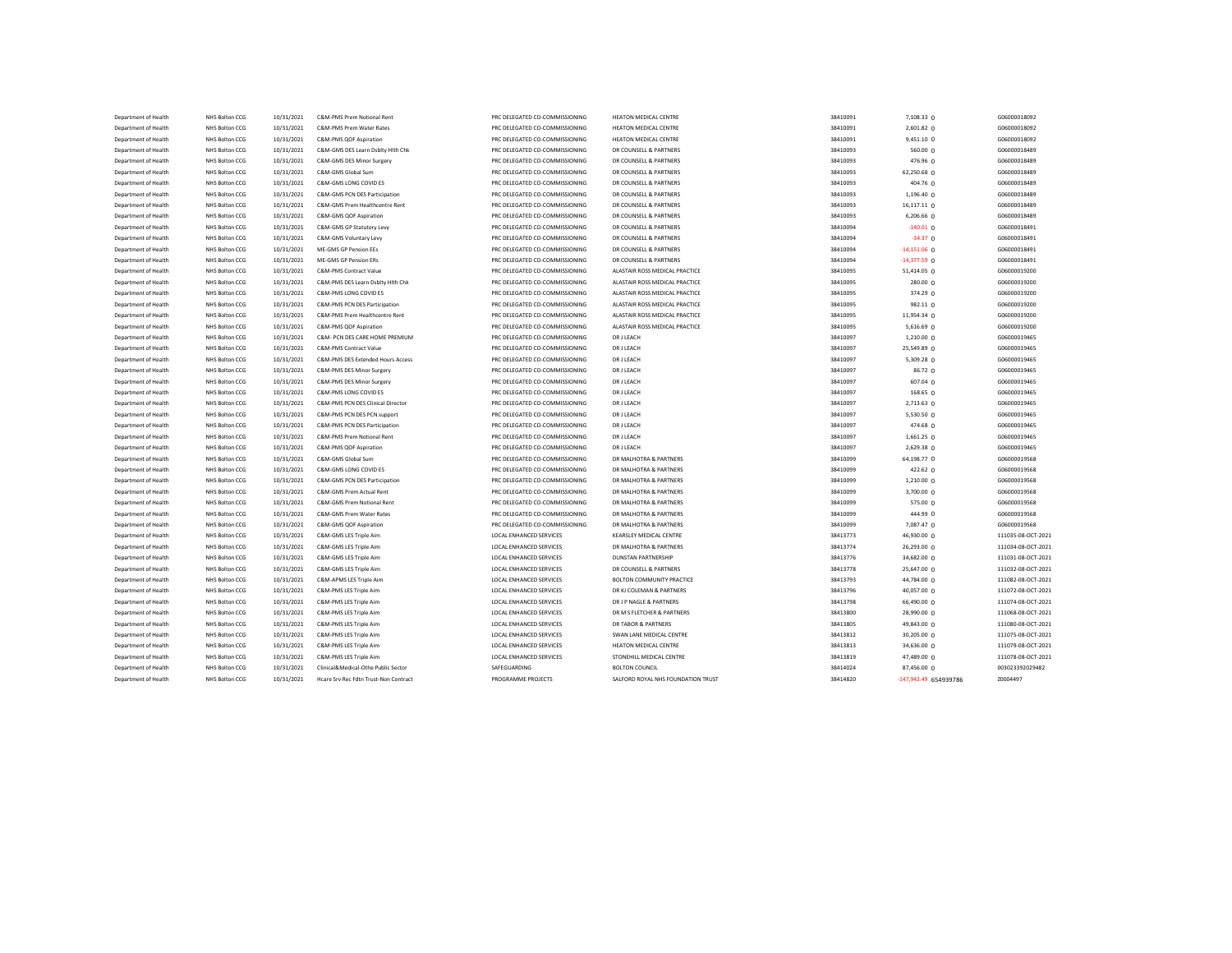| Department of Health                         | NHS Bolton CCG                   | 10/31/2021               | C&M-PMS Prem Notional Rent                                      | PRC DELEGATED CO-COMMISSIONING                                   | <b>HEATON MEDICAL CENTRE</b>                                     | 38410091             | 7,108.33 0            | G06000018092                 |
|----------------------------------------------|----------------------------------|--------------------------|-----------------------------------------------------------------|------------------------------------------------------------------|------------------------------------------------------------------|----------------------|-----------------------|------------------------------|
| Department of Health                         | NHS Bolton CCG                   | 10/31/2021               | C&M-PMS Prem Water Rates                                        | PRC DELEGATED CO-COMMISSIONING                                   | <b>HEATON MEDICAL CENTRE</b>                                     | 38410091             | $2,601.82$ 0          | G06000018092                 |
| Department of Health                         | NHS Bolton CCG                   | 10/31/2021               | C&M-PMS QOF Aspiration                                          | PRC DELEGATED CO-COMMISSIONING                                   | HEATON MEDICAL CENTRE                                            | 38410091             | $9,451.10$ 0          | G06000018092                 |
| Department of Health                         | NHS Bolton CCG                   | 10/31/2021               | C&M-GMS DES Learn Dsblty Hith Chk                               | PRC DELEGATED CO-COMMISSIONING                                   | DR COUNSELL & PARTNERS                                           | 38410093             | 560.00 0              | G06000018489                 |
| Department of Health                         | NHS Bolton CCG                   | 10/31/2021               | C&M-GMS DES Minor Surgery                                       | PRC DELEGATED CO-COMMISSIONING                                   | DR COUNSELL & PARTNERS                                           | 38410093             | 476.96 0              | G06000018489                 |
| Department of Health                         | NHS Bolton CCG                   | 10/31/2021               | C&M-GMS Global Sum                                              | PRC DELEGATED CO-COMMISSIONING                                   | DR COUNSELL & PARTNERS                                           | 38410093             | 62,250.68 0           | G06000018489                 |
| Department of Health                         | NHS Bolton CCG                   | 10/31/2021               | C&M-GMS LONG COVID ES                                           | PRC DELEGATED CO-COMMISSIONING                                   | DR COUNSELL & PARTNERS                                           | 38410093             | 404.76 0              | G06000018489                 |
| Department of Health                         | NHS Bolton CCG                   | 10/31/2021               | C&M-GMS PCN DES Participation                                   | PRC DELEGATED CO-COMMISSIONING                                   | DR COUNSELL & PARTNERS                                           | 38410093             | 1,196.40 0            | G06000018489                 |
| Department of Health                         | NHS Bolton CCG                   | 10/31/2021               | C&M-GMS Prem Healthcentre Rent                                  | PRC DELEGATED CO-COMMISSIONING                                   | DR COUNSELL & PARTNERS                                           | 38410093             | 16,117.11 0           | G06000018489                 |
| Department of Health                         | NHS Bolton CCG                   | 10/31/2021               | C&M-GMS QOF Aspiration                                          | PRC DELEGATED CO-COMMISSIONING                                   | DR COUNSELL & PARTNERS                                           | 38410093             | $6,206.66$ 0          | G06000018489                 |
| Department of Health                         | NHS Bolton CCG                   | 10/31/2021               | C&M-GMS GP Statutory Levy                                       | PRC DELEGATED CO-COMMISSIONING                                   | DR COUNSELL & PARTNERS                                           | 38410094             | $-140.01$ 0           | G06000018491                 |
| Department of Health                         | NHS Bolton CCG                   | 10/31/2021               | C&M-GMS Voluntary Levy                                          | PRC DELEGATED CO-COMMISSIONING                                   | DR COUNSELL & PARTNERS                                           | 38410094             | $-34.37$ 0            | G06000018491                 |
| Department of Health                         | NHS Bolton CCG                   | 10/31/2021               | ME-GMS GP Pension EEs                                           | PRC DELEGATED CO-COMMISSIONING                                   | DR COUNSELL & PARTNERS                                           | 38410094             | $-14,151.06$ 0        | G06000018491                 |
| Department of Health                         | NHS Bolton CCG                   | 10/31/2021               | ME-GMS GP Pension ERs                                           | PRC DELEGATED CO-COMMISSIONING                                   | DR COUNSELL & PARTNERS                                           | 38410094             | $-14,377.59$ 0        | G06000018491                 |
| Department of Health                         | NHS Bolton CCG                   | 10/31/2021               | C&M-PMS Contract Value                                          | PRC DELEGATED CO-COMMISSIONING                                   | ALASTAIR ROSS MEDICAL PRACTICE                                   | 38410095             | 51,414.05 0           | G06000019200                 |
| Department of Health                         | NHS Bolton CCG                   | 10/31/2021               | C&M-PMS DES Learn Dsblty Hith Chk                               | PRC DELEGATED CO-COMMISSIONING                                   | ALASTAIR ROSS MEDICAL PRACTICE                                   | 38410095             | 280.00 0              | G06000019200                 |
| Department of Health                         | NHS Bolton CCG                   | 10/31/2021               | C&M-PMS LONG COVID ES                                           | PRC DELEGATED CO-COMMISSIONING                                   | ALASTAIR ROSS MEDICAL PRACTICE                                   | 38410095             | 374.29 0              | G06000019200                 |
|                                              |                                  |                          |                                                                 |                                                                  |                                                                  |                      | 982.11 0              |                              |
| Department of Health<br>Department of Health | NHS Bolton CCG<br>NHS Bolton CCG | 10/31/2021<br>10/31/2021 | C&M-PMS PCN DES Participation<br>C&M-PMS Prem Healthcentre Rent | PRC DELEGATED CO-COMMISSIONING<br>PRC DELEGATED CO-COMMISSIONING | ALASTAIR ROSS MEDICAL PRACTICE<br>ALASTAIR ROSS MEDICAL PRACTICE | 38410095<br>38410095 | 11,954.34 0           | G06000019200<br>G06000019200 |
|                                              |                                  | 10/31/2021               |                                                                 | PRC DELEGATED CO-COMMISSIONING                                   |                                                                  | 38410095             |                       | G06000019200                 |
| Department of Health                         | NHS Bolton CCG                   |                          | C&M-PMS QOF Aspiration                                          |                                                                  | ALASTAIR ROSS MEDICAL PRACTICE                                   |                      | $5,616.69$ 0          |                              |
| Department of Health                         | NHS Bolton CCG                   | 10/31/2021               | C&M- PCN DES CARE HOME PREMIUM                                  | PRC DELEGATED CO-COMMISSIONING                                   | <b>DRJ LEACH</b>                                                 | 38410097             | 1,210.00 0            | G06000019465                 |
| Department of Health                         | NHS Bolton CCG                   | 10/31/2021               | C&M-PMS Contract Value                                          | PRC DELEGATED CO-COMMISSIONING                                   | <b>DR J LEACH</b>                                                | 38410097             | 25,549.89 0           | G06000019465                 |
| Department of Health                         | NHS Bolton CCG                   | 10/31/2021               | C&M-PMS DES Extended Hours Access                               | PRC DELEGATED CO-COMMISSIONING                                   | <b>DR J LEACH</b>                                                | 38410097             | 5,309.28 0            | G06000019465                 |
| Department of Health                         | NHS Bolton CCG                   | 10/31/2021               | C&M-PMS DES Minor Surgery                                       | PRC DELEGATED CO-COMMISSIONING                                   | <b>DR J LEACH</b>                                                | 38410097             | 86.72 0               | G06000019465                 |
| Department of Health                         | NHS Bolton CCG                   | 10/31/2021               | C&M-PMS DES Minor Surgery                                       | PRC DELEGATED CO-COMMISSIONING                                   | <b>DR J LEACH</b>                                                | 38410097             | 607.04 0              | G06000019465                 |
| Department of Health                         | NHS Bolton CCG                   | 10/31/2021               | C&M-PMS LONG COVID ES                                           | PRC DELEGATED CO-COMMISSIONING                                   | <b>DRJ LEACH</b>                                                 | 38410097             | 168.65 0              | G06000019465                 |
| Department of Health                         | NHS Bolton CCG                   | 10/31/2021               | C&M-PMS PCN DES Clinical Director                               | PRC DELEGATED CO-COMMISSIONING                                   | <b>DR J LEACH</b>                                                | 38410097             | $2,713.63$ 0          | G06000019465                 |
| Department of Health                         | NHS Bolton CCG                   | 10/31/2021               | C&M-PMS PCN DES PCN support                                     | PRC DELEGATED CO-COMMISSIONING                                   | <b>DRJ LEACH</b>                                                 | 38410097             | 5,530.50 $\Omega$     | G06000019465                 |
| Department of Health                         | NHS Bolton CCG                   | 10/31/2021               | C&M-PMS PCN DES Participation                                   | PRC DELEGATED CO-COMMISSIONING                                   | <b>DR J LEACH</b>                                                | 38410097             | 474.68 $0$            | G06000019465                 |
| Department of Health                         | NHS Bolton CCG                   | 10/31/2021               | C&M-PMS Prem Notional Rent                                      | PRC DELEGATED CO-COMMISSIONING                                   | <b>DR J LEACH</b>                                                | 38410097             | 1,661.25 0            | G06000019465                 |
| Department of Health                         | NHS Bolton CCG                   | 10/31/2021               | C&M-PMS QOF Aspiration                                          | PRC DELEGATED CO-COMMISSIONING                                   | <b>DRJ LEACH</b>                                                 | 38410097             | 2,629.38 0            | G06000019465                 |
| Department of Health                         | NHS Bolton CCG                   | 10/31/2021               | C&M-GMS Global Sum                                              | PRC DELEGATED CO-COMMISSIONING                                   | DR MALHOTRA & PARTNERS                                           | 38410099             | 64,198.77 0           | G06000019568                 |
| Department of Health                         | NHS Bolton CCG                   | 10/31/2021               | C&M-GMS LONG COVID ES                                           | PRC DELEGATED CO-COMMISSIONING                                   | DR MALHOTRA & PARTNERS                                           | 38410099             | 422.62 0              | G06000019568                 |
| Department of Health                         | NHS Bolton CCG                   | 10/31/2021               | C&M-GMS PCN DES Participation                                   | PRC DELEGATED CO-COMMISSIONING                                   | DR MALHOTRA & PARTNERS                                           | 38410099             | 1,210.00 0            | G06000019568                 |
| Department of Health                         | NHS Bolton CCG                   | 10/31/2021               | C&M-GMS Prem Actual Rent                                        | PRC DELEGATED CO-COMMISSIONING                                   | DR MALHOTRA & PARTNERS                                           | 38410099             | 3,700.00 0            | G06000019568                 |
| Department of Health                         | NHS Bolton CCG                   | 10/31/2021               | C&M-GMS Prem Notional Rent                                      | PRC DELEGATED CO-COMMISSIONING                                   | DR MALHOTRA & PARTNERS                                           | 38410099             | 575.00 0              | G06000019568                 |
| Department of Health                         | NHS Bolton CCG                   | 10/31/2021               | C&M-GMS Prem Water Rates                                        | PRC DELEGATED CO-COMMISSIONING                                   | DR MALHOTRA & PARTNERS                                           | 38410099             | 444.99 0              | G06000019568                 |
| Department of Health                         | NHS Bolton CCG                   | 10/31/2021               | C&M-GMS QOF Aspiration                                          | PRC DELEGATED CO-COMMISSIONING                                   | DR MALHOTRA & PARTNERS                                           | 38410099             | 7,087.47 0            | G06000019568                 |
| Department of Health                         | NHS Bolton CCG                   | 10/31/2021               | C&M-GMS LES Triple Aim                                          | LOCAL ENHANCED SERVICES                                          | <b>KEARSLEY MEDICAL CENTRE</b>                                   | 38413773             | 46,930.00 0           | 111035-08-OCT-2021           |
| Department of Health                         | NHS Bolton CCG                   | 10/31/2021               | C&M-GMS LES Triple Aim                                          | LOCAL ENHANCED SERVICES                                          | DR MALHOTRA & PARTNERS                                           | 38413774             | 26,293.00 0           | 111034-08-OCT-2021           |
| Department of Health                         | NHS Bolton CCG                   | 10/31/2021               | C&M-GMS LES Triple Aim                                          | <b>LOCAL ENHANCED SERVICES</b>                                   | <b>DUNSTAN PARTNERSHIP</b>                                       | 38413776             | 34,682.00 0           | 111031-08-OCT-2021           |
| Department of Health                         | NHS Bolton CCG                   | 10/31/2021               | C&M-GMS LES Triple Aim                                          | LOCAL ENHANCED SERVICES                                          | DR COUNSELL & PARTNERS                                           | 38413778             | 25,647.00 0           | 111032-08-OCT-2021           |
| Department of Health                         | NHS Bolton CCG                   | 10/31/2021               | C&M-APMS LES Triple Aim                                         | LOCAL ENHANCED SERVICES                                          | <b>BOLTON COMMUNITY PRACTICE</b>                                 | 38413793             | 44,784.00 0           | 111082-08-OCT-2021           |
| Department of Health                         | NHS Bolton CCG                   | 10/31/2021               | C&M-PMS LES Triple Aim                                          | <b>LOCAL ENHANCED SERVICES</b>                                   | DR KJ COLEMAN & PARTNERS                                         | 38413796             | 40,057.00 0           | 111072-08-OCT-2021           |
| Department of Health                         | NHS Bolton CCG                   | 10/31/2021               | C&M-PMS LES Triple Aim                                          | LOCAL ENHANCED SERVICES                                          | DR J P NAGLE & PARTNERS                                          | 38413798             | 66,490.00 0           | 111074-08-OCT-2021           |
| Department of Health                         | NHS Bolton CCG                   | 10/31/2021               | C&M-PMS LES Triple Aim                                          | LOCAL ENHANCED SERVICES                                          | DR M S FLETCHER & PARTNERS                                       | 38413800             | 28,990.00 0           | 111068-08-OCT-2021           |
|                                              |                                  |                          |                                                                 |                                                                  |                                                                  |                      |                       |                              |
| Department of Health                         | NHS Bolton CCG                   | 10/31/2021               | C&M-PMS LES Triple Aim                                          | LOCAL ENHANCED SERVICES                                          | DR TABOR & PARTNERS                                              | 38413805             | 49,843.00 0           | 111080-08-OCT-2021           |
| Department of Health                         | NHS Bolton CCG                   | 10/31/2021               | C&M-PMS LES Triple Aim                                          | LOCAL ENHANCED SERVICES                                          | SWAN LANE MEDICAL CENTRE                                         | 38413812             | 30,205.00 0           | 111075-08-OCT-2021           |
| Department of Health                         | NHS Bolton CCG                   | 10/31/2021               | C&M-PMS LES Triple Aim                                          | LOCAL ENHANCED SERVICES                                          | <b>HEATON MEDICAL CENTRE</b>                                     | 38413813             | 34,636.00 0           | 111079-08-OCT-2021           |
| Department of Health                         | NHS Bolton CCG                   | 10/31/2021               | C&M-PMS LES Triple Aim                                          | LOCAL ENHANCED SERVICES                                          | STONEHILL MEDICAL CENTRE                                         | 38413819             | 47,489.00 0           | 111078-08-OCT-2021           |
| Department of Health                         | NHS Bolton CCG                   | 10/31/2021               | Clinical&Medical-Othe Public Sector                             | SAFEGUARDING                                                     | <b>BOLTON COUNCIL</b>                                            | 38414024             | 87,456.00 0           | 003023392029482              |
| Department of Health                         | NHS Bolton CCG                   | 10/31/2021               | Hcare Srv Rec Fdtn Trust-Non Contract                           | PROGRAMME PROJECTS                                               | SALFORD ROYAL NHS FOUNDATION TRUST                               | 38414820             | -147,942.49 654939786 | Z0004497                     |